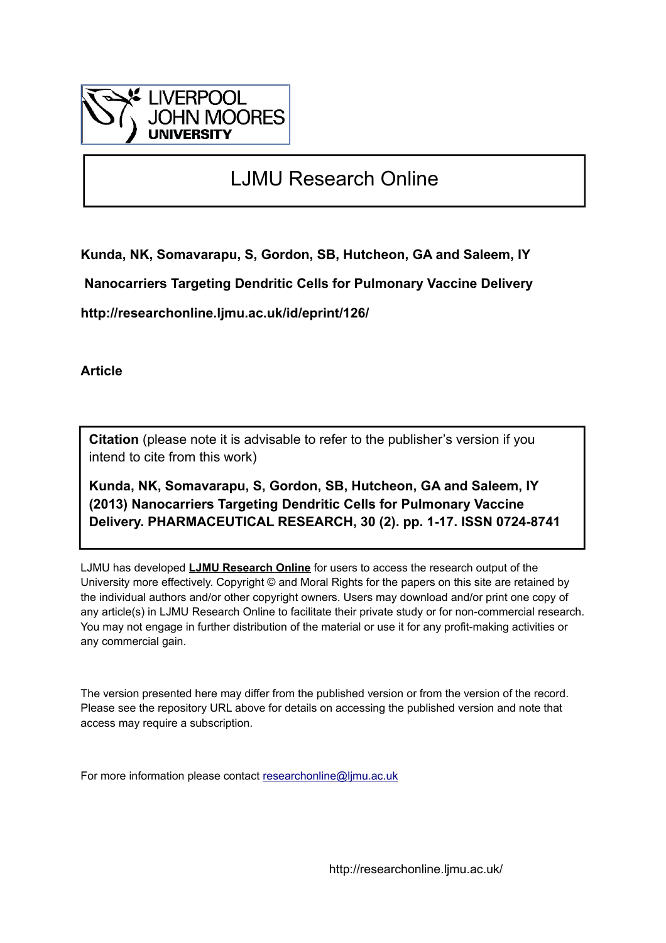

# LJMU Research Online

**Kunda, NK, Somavarapu, S, Gordon, SB, Hutcheon, GA and Saleem, IY**

 **Nanocarriers Targeting Dendritic Cells for Pulmonary Vaccine Delivery**

**http://researchonline.ljmu.ac.uk/id/eprint/126/**

**Article**

**Citation** (please note it is advisable to refer to the publisher's version if you intend to cite from this work)

**Kunda, NK, Somavarapu, S, Gordon, SB, Hutcheon, GA and Saleem, IY (2013) Nanocarriers Targeting Dendritic Cells for Pulmonary Vaccine Delivery. PHARMACEUTICAL RESEARCH, 30 (2). pp. 1-17. ISSN 0724-8741** 

LJMU has developed **[LJMU Research Online](http://researchonline.ljmu.ac.uk/)** for users to access the research output of the University more effectively. Copyright © and Moral Rights for the papers on this site are retained by the individual authors and/or other copyright owners. Users may download and/or print one copy of any article(s) in LJMU Research Online to facilitate their private study or for non-commercial research. You may not engage in further distribution of the material or use it for any profit-making activities or any commercial gain.

The version presented here may differ from the published version or from the version of the record. Please see the repository URL above for details on accessing the published version and note that access may require a subscription.

For more information please contact [researchonline@ljmu.ac.uk](mailto:researchonline@ljmu.ac.uk)

http://researchonline.ljmu.ac.uk/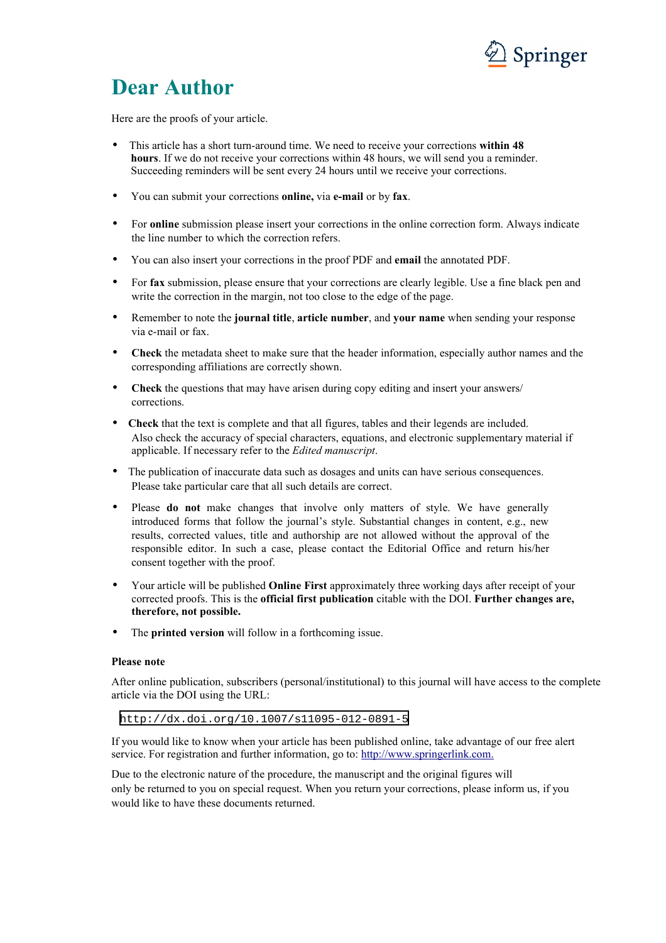

# **Dear Author**

Here are the proofs of your article.

- This article has a short turn-around time. We need to receive your corrections **within 48 hours**. If we do not receive your corrections within 48 hours, we will send you a reminder. Succeeding reminders will be sent every 24 hours until we receive your corrections.
- You can submit your corrections **online,** via **e-mail** or by **fax**.
- For **online** submission please insert your corrections in the online correction form. Always indicate the line number to which the correction refers.
- You can also insert your corrections in the proof PDF and **email** the annotated PDF.
- For **fax** submission, please ensure that your corrections are clearly legible. Use a fine black pen and write the correction in the margin, not too close to the edge of the page.
- Remember to note the **journal title**, **article number**, and **your name** when sending your response via e-mail or fax.
- **Check** the metadata sheet to make sure that the header information, especially author names and the corresponding affiliations are correctly shown.
- **Check** the questions that may have arisen during copy editing and insert your answers/ corrections.
- **Check** that the text is complete and that all figures, tables and their legends are included. Also check the accuracy of special characters, equations, and electronic supplementary material if applicable. If necessary refer to the *Edited manuscript*.
- The publication of inaccurate data such as dosages and units can have serious consequences. Please take particular care that all such details are correct.
- Please **do not** make changes that involve only matters of style. We have generally introduced forms that follow the journal's style. Substantial changes in content, e.g., new results, corrected values, title and authorship are not allowed without the approval of the responsible editor. In such a case, please contact the Editorial Office and return his/her consent together with the proof.
- Your article will be published **Online First** approximately three working days after receipt of your corrected proofs. This is the **official first publication** citable with the DOI. **Further changes are, therefore, not possible.**
- The **printed version** will follow in a forthcoming issue.

#### **Please note**

After online publication, subscribers (personal/institutional) to this journal will have access to the complete article via the DOI using the URL:

<http://dx.doi.org/10.1007/s11095-012-0891-5>

If you would like to know when your article has been published online, take advantage of our free alert service. For registration and further information, go to: [http://www.springerlink.com.](http://www.springerlink.com/)

Due to the electronic nature of the procedure, the manuscript and the original figures will only be returned to you on special request. When you return your corrections, please inform us, if you would like to have these documents returned.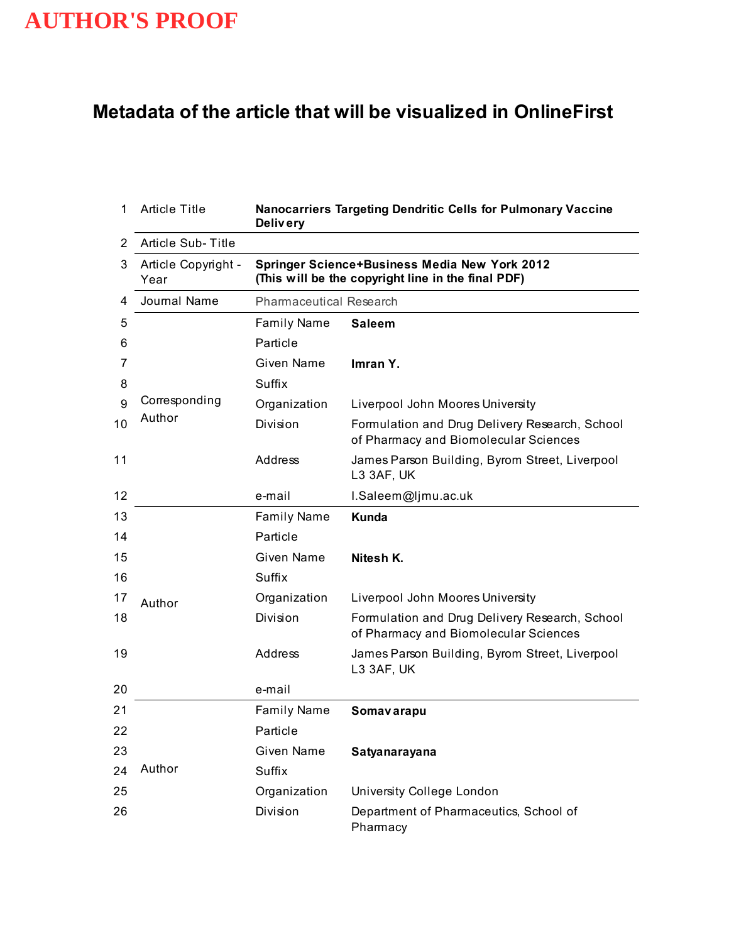## **Metadata of the article that will be visualized in OnlineFirst**

| 1  | <b>Article Title</b>        | Nanocarriers Targeting Dendritic Cells for Pulmonary Vaccine<br><b>Delivery</b> |                                                                                                     |  |  |  |  |
|----|-----------------------------|---------------------------------------------------------------------------------|-----------------------------------------------------------------------------------------------------|--|--|--|--|
| 2  | Article Sub-Title           |                                                                                 |                                                                                                     |  |  |  |  |
| 3  | Article Copyright -<br>Year |                                                                                 | Springer Science+Business Media New York 2012<br>(This will be the copyright line in the final PDF) |  |  |  |  |
| 4  | Journal Name                | <b>Pharmaceutical Research</b>                                                  |                                                                                                     |  |  |  |  |
| 5  |                             | <b>Family Name</b>                                                              | <b>Saleem</b>                                                                                       |  |  |  |  |
| 6  |                             | Particle                                                                        |                                                                                                     |  |  |  |  |
| 7  |                             | Given Name                                                                      | Imran Y.                                                                                            |  |  |  |  |
| 8  |                             | Suffix                                                                          |                                                                                                     |  |  |  |  |
| 9  | Corresponding               | Organization                                                                    | Liverpool John Moores University                                                                    |  |  |  |  |
| 10 | Author                      | Division                                                                        | Formulation and Drug Delivery Research, School<br>of Pharmacy and Biomolecular Sciences             |  |  |  |  |
| 11 |                             | Address                                                                         | James Parson Building, Byrom Street, Liverpool<br>L3 3AF, UK                                        |  |  |  |  |
| 12 |                             | e-mail                                                                          | I.Saleem@ljmu.ac.uk                                                                                 |  |  |  |  |
| 13 |                             | <b>Family Name</b>                                                              | Kunda                                                                                               |  |  |  |  |
| 14 |                             | Particle                                                                        |                                                                                                     |  |  |  |  |
| 15 |                             | Given Name                                                                      | Nitesh K.                                                                                           |  |  |  |  |
| 16 |                             | Suffix                                                                          |                                                                                                     |  |  |  |  |
| 17 | Author                      | Organization                                                                    | Liverpool John Moores University                                                                    |  |  |  |  |
| 18 |                             | Division                                                                        | Formulation and Drug Delivery Research, School<br>of Pharmacy and Biomolecular Sciences             |  |  |  |  |
| 19 |                             | Address                                                                         | James Parson Building, Byrom Street, Liverpool<br>L3 3AF, UK                                        |  |  |  |  |
| 20 |                             | e-mail                                                                          |                                                                                                     |  |  |  |  |
| 21 |                             | <b>Family Name</b>                                                              | Somav arapu                                                                                         |  |  |  |  |
| 22 |                             | Particle                                                                        |                                                                                                     |  |  |  |  |
| 23 |                             | <b>Given Name</b>                                                               | Satyanarayana                                                                                       |  |  |  |  |
| 24 | Author                      | Suffix                                                                          |                                                                                                     |  |  |  |  |
| 25 |                             | Organization                                                                    | University College London                                                                           |  |  |  |  |
| 26 |                             | Division                                                                        | Department of Pharmaceutics, School of<br>Pharmacy                                                  |  |  |  |  |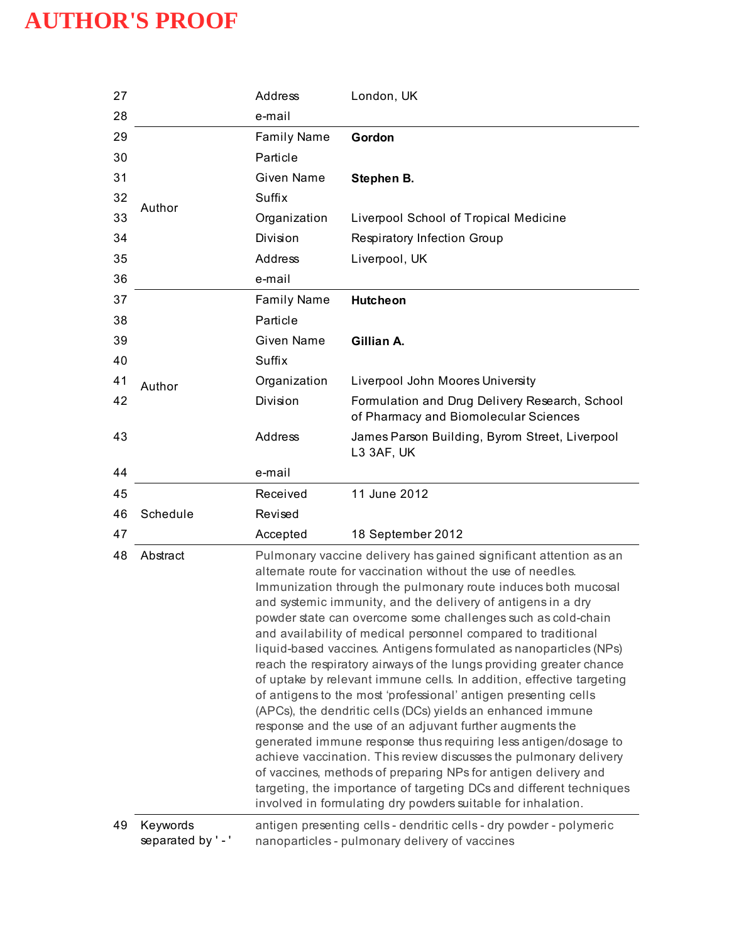| 27 |                              | Address                                                                                                                                                                                                                                                                                                                                                                                                                                                                                                                                                                                                                                                                                                                                                                                                                                                                                                                                                                                                                                                                                                                                                               | London, UK                                                                                                            |  |
|----|------------------------------|-----------------------------------------------------------------------------------------------------------------------------------------------------------------------------------------------------------------------------------------------------------------------------------------------------------------------------------------------------------------------------------------------------------------------------------------------------------------------------------------------------------------------------------------------------------------------------------------------------------------------------------------------------------------------------------------------------------------------------------------------------------------------------------------------------------------------------------------------------------------------------------------------------------------------------------------------------------------------------------------------------------------------------------------------------------------------------------------------------------------------------------------------------------------------|-----------------------------------------------------------------------------------------------------------------------|--|
| 28 |                              | e-mail                                                                                                                                                                                                                                                                                                                                                                                                                                                                                                                                                                                                                                                                                                                                                                                                                                                                                                                                                                                                                                                                                                                                                                |                                                                                                                       |  |
| 29 |                              | <b>Family Name</b>                                                                                                                                                                                                                                                                                                                                                                                                                                                                                                                                                                                                                                                                                                                                                                                                                                                                                                                                                                                                                                                                                                                                                    | Gordon                                                                                                                |  |
| 30 |                              | Particle                                                                                                                                                                                                                                                                                                                                                                                                                                                                                                                                                                                                                                                                                                                                                                                                                                                                                                                                                                                                                                                                                                                                                              |                                                                                                                       |  |
| 31 |                              | <b>Given Name</b>                                                                                                                                                                                                                                                                                                                                                                                                                                                                                                                                                                                                                                                                                                                                                                                                                                                                                                                                                                                                                                                                                                                                                     | Stephen B.                                                                                                            |  |
| 32 |                              | Suffix                                                                                                                                                                                                                                                                                                                                                                                                                                                                                                                                                                                                                                                                                                                                                                                                                                                                                                                                                                                                                                                                                                                                                                |                                                                                                                       |  |
| 33 | Author                       | Organization                                                                                                                                                                                                                                                                                                                                                                                                                                                                                                                                                                                                                                                                                                                                                                                                                                                                                                                                                                                                                                                                                                                                                          | Liverpool School of Tropical Medicine                                                                                 |  |
| 34 |                              | Division                                                                                                                                                                                                                                                                                                                                                                                                                                                                                                                                                                                                                                                                                                                                                                                                                                                                                                                                                                                                                                                                                                                                                              | Respiratory Infection Group                                                                                           |  |
| 35 |                              | Address                                                                                                                                                                                                                                                                                                                                                                                                                                                                                                                                                                                                                                                                                                                                                                                                                                                                                                                                                                                                                                                                                                                                                               | Liverpool, UK                                                                                                         |  |
| 36 |                              | e-mail                                                                                                                                                                                                                                                                                                                                                                                                                                                                                                                                                                                                                                                                                                                                                                                                                                                                                                                                                                                                                                                                                                                                                                |                                                                                                                       |  |
| 37 |                              | <b>Family Name</b>                                                                                                                                                                                                                                                                                                                                                                                                                                                                                                                                                                                                                                                                                                                                                                                                                                                                                                                                                                                                                                                                                                                                                    | <b>Hutcheon</b>                                                                                                       |  |
| 38 |                              | Particle                                                                                                                                                                                                                                                                                                                                                                                                                                                                                                                                                                                                                                                                                                                                                                                                                                                                                                                                                                                                                                                                                                                                                              |                                                                                                                       |  |
| 39 |                              | Given Name                                                                                                                                                                                                                                                                                                                                                                                                                                                                                                                                                                                                                                                                                                                                                                                                                                                                                                                                                                                                                                                                                                                                                            | Gillian A.                                                                                                            |  |
| 40 |                              | Suffix                                                                                                                                                                                                                                                                                                                                                                                                                                                                                                                                                                                                                                                                                                                                                                                                                                                                                                                                                                                                                                                                                                                                                                |                                                                                                                       |  |
| 41 | Author                       | Organization                                                                                                                                                                                                                                                                                                                                                                                                                                                                                                                                                                                                                                                                                                                                                                                                                                                                                                                                                                                                                                                                                                                                                          | Liverpool John Moores University                                                                                      |  |
| 42 |                              | Division                                                                                                                                                                                                                                                                                                                                                                                                                                                                                                                                                                                                                                                                                                                                                                                                                                                                                                                                                                                                                                                                                                                                                              | Formulation and Drug Delivery Research, School<br>of Pharmacy and Biomolecular Sciences                               |  |
| 43 |                              | Address                                                                                                                                                                                                                                                                                                                                                                                                                                                                                                                                                                                                                                                                                                                                                                                                                                                                                                                                                                                                                                                                                                                                                               | James Parson Building, Byrom Street, Liverpool<br>L3 3AF, UK                                                          |  |
| 44 |                              | e-mail                                                                                                                                                                                                                                                                                                                                                                                                                                                                                                                                                                                                                                                                                                                                                                                                                                                                                                                                                                                                                                                                                                                                                                |                                                                                                                       |  |
| 45 |                              | Received                                                                                                                                                                                                                                                                                                                                                                                                                                                                                                                                                                                                                                                                                                                                                                                                                                                                                                                                                                                                                                                                                                                                                              | 11 June 2012                                                                                                          |  |
| 46 | Schedule                     | Revised                                                                                                                                                                                                                                                                                                                                                                                                                                                                                                                                                                                                                                                                                                                                                                                                                                                                                                                                                                                                                                                                                                                                                               |                                                                                                                       |  |
| 47 |                              | Accepted                                                                                                                                                                                                                                                                                                                                                                                                                                                                                                                                                                                                                                                                                                                                                                                                                                                                                                                                                                                                                                                                                                                                                              | 18 September 2012                                                                                                     |  |
| 48 | Abstract                     | Pulmonary vaccine delivery has gained significant attention as an<br>alternate route for vaccination without the use of needles.<br>Immunization through the pulmonary route induces both mucosal<br>and systemic immunity, and the delivery of antigens in a dry<br>powder state can overcome some challenges such as cold-chain<br>and availability of medical personnel compared to traditional<br>liquid-based vaccines. Antigens formulated as nanoparticles (NPs)<br>reach the respiratory airways of the lungs providing greater chance<br>of uptake by relevant immune cells. In addition, effective targeting<br>of antigens to the most 'professional' antigen presenting cells<br>(APCs), the dendritic cells (DCs) yields an enhanced immune<br>response and the use of an adjuvant further augments the<br>generated immune response thus requiring less antigen/dosage to<br>achieve vaccination. This review discusses the pulmonary delivery<br>of vaccines, methods of preparing NPs for antigen delivery and<br>targeting, the importance of targeting DCs and different techniques<br>involved in formulating dry powders suitable for inhalation. |                                                                                                                       |  |
| 49 | Keywords<br>separated by '-' |                                                                                                                                                                                                                                                                                                                                                                                                                                                                                                                                                                                                                                                                                                                                                                                                                                                                                                                                                                                                                                                                                                                                                                       | antigen presenting cells - dendritic cells - dry powder - polymeric<br>nanoparticles - pulmonary delivery of vaccines |  |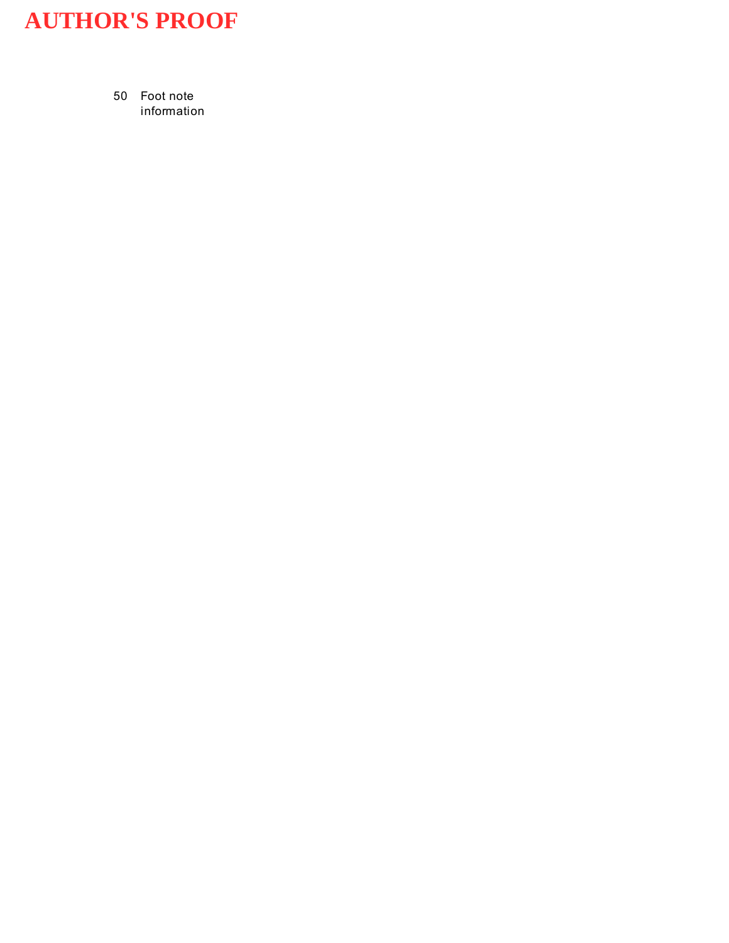50 Foot note information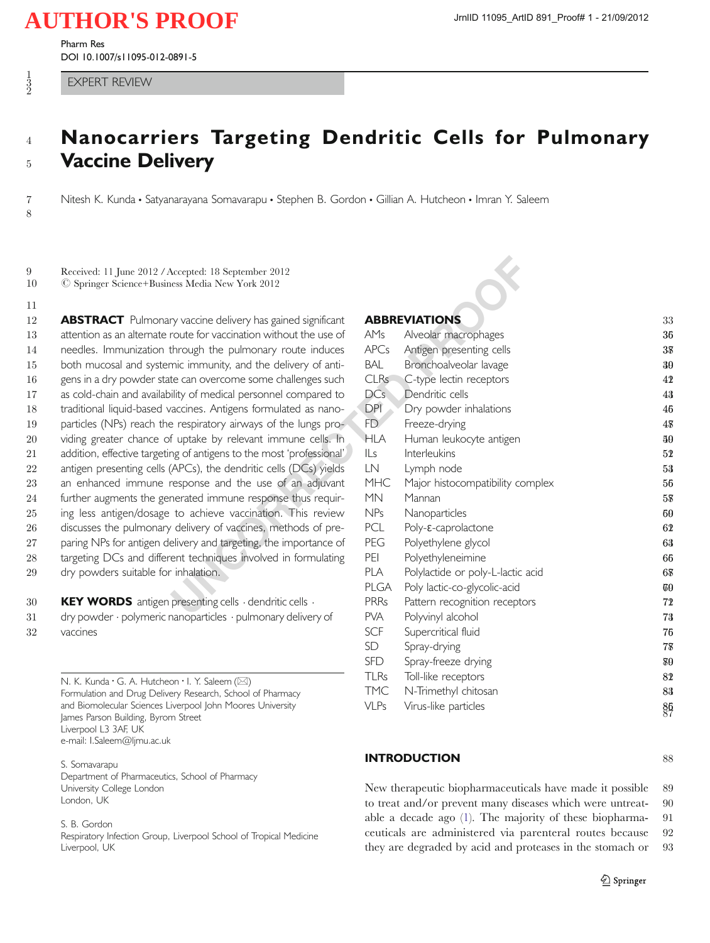Pharm Res DOI 10.1007/s11095-012-0891-5

1 2

8

11

### <sup>4</sup> Nanocarriers Targeting Dendritic Cells for Pulmonary <sup>5</sup> Vaccine Delivery

7 Nitesh K. Kunda • Satyanarayana Somavarapu • Stephen B. Gordon • Gillian A. Hutcheon • Imran Y. Saleem

9 Received: 11 June 2012 / Accepted: 18 September 2012<br>10 © Springer Science+Business Media New York 2012 10 # Springer Science+Business Media New York 2012

**ABSTRACT** Pulmonary vaccine delivery has gained significant 13 attention as an alternate route for vaccination without the use of needles. Immunization through the pulmonary route induces both mucosal and systemic immunity, and the delivery of anti-16 gens in a dry powder state can overcome some challenges such as cold-chain and availability of medical personnel compared to traditional liquid-based vaccines. Antigens formulated as nano- particles (NPs) reach the respiratory airways of the lungs pro- viding greater chance of uptake by relevant immune cells. In 21 addition, effective targeting of antigens to the most 'professional' 22 antigen presenting cells (APCs), the dendritic cells (DCs) yields an enhanced immune response and the use of an adjuvant further augments the generated immune response thus requir- ing less antigen/dosage to achieve vaccination. This review 26 discusses the pulmonary delivery of vaccines, methods of pre-27 paring NPs for antigen delivery and targeting, the importance of targeting DCs and different techniques involved in formulating dry powders suitable for inhalation.

30 **KEY WORDS** antigen presenting cells  $\cdot$  dendritic cells  $\cdot$ 31 dry powder · polymeric nanoparticles · pulmonary delivery of 32 vaccines

> N. K. Kunda · G. A. Hutcheon · I. Y. Saleem  $(\boxtimes)$ Formulation and Drug Delivery Research, School of Pharmacy and Biomolecular Sciences Liverpool John Moores University James Parson Building, Byrom Street Liverpool L3 3AF, UK e-mail: I.Saleem@ljmu.ac.uk

S. Somavarapu Department of Pharmaceutics, School of Pharmacy University College London London, UK

S. B. Gordon

Respiratory Infection Group, Liverpool School of Tropical Medicine Liverpool, UK

### ABBREVIATIONS 33

| Accepted: 18 September 2012<br>ess Media New York 2012 |             |                                   |                 |
|--------------------------------------------------------|-------------|-----------------------------------|-----------------|
| ry vaccine delivery has gained significant             |             | <b>ABBREVIATIONS</b>              | 33              |
| route for vaccination without the use of               | AMs         | Alveolar macrophages              | 36              |
| through the pulmonary route induces                    | <b>APCs</b> | Antigen presenting cells          | 38              |
| mic immunity, and the delivery of anti-                | <b>BAL</b>  | Bronchoalveolar lavage            | 30              |
| te can overcome some challenges such                   | <b>CLRs</b> | C-type lectin receptors           | 42              |
| ility of medical personnel compared to                 | DCs         | Dendritic cells                   | 43              |
| accines. Antigens formulated as nano-                  | <b>DPI</b>  | Dry powder inhalations            | 46              |
| e respiratory airways of the lungs pro-                | FD          | Freeze-drying                     | 48              |
| f uptake by relevant immune cells. In                  | <b>HLA</b>  | Human leukocyte antigen           | 40              |
| ng of antigens to the most 'professional'              | ILS         | <b>Interleukins</b>               | 52              |
| (APCs), the dendritic cells (DCs) yields               | LN          | Lymph node                        | 53              |
| response and the use of an adjuvant                    | <b>MHC</b>  | Major histocompatibility complex  | 56              |
| nerated immune response thus requir-                   | <b>MN</b>   | Mannan                            | 58              |
| to achieve vaccination. This review                    | NPs         | Nanoparticles                     | 60              |
| delivery of vaccines, methods of pre-                  | PCL         | Poly- <i>ε</i> -caprolactone      | 62              |
| elivery and targeting, the importance of               | PEG         | Polyethylene glycol               | 63              |
| ent techniques involved in formulating                 | PEI         | Polyethyleneimine                 | 66              |
| inhalation.                                            | <b>PLA</b>  | Polylactide or poly-L-lactic acid | 68              |
|                                                        | PLGA        | Poly lactic-co-glycolic-acid      | 60              |
| presenting cells · dendritic cells ·                   | <b>PRRs</b> | Pattern recognition receptors     | 72              |
| nanoparticles · pulmonary delivery of                  | <b>PVA</b>  | Polyvinyl alcohol                 | 73              |
|                                                        | <b>SCF</b>  | Supercritical fluid               | 76              |
|                                                        | SD.         | Spray-drying                      | 78              |
|                                                        | <b>SFD</b>  | Spray-freeze drying               | 80              |
| on $\cdot$ I. Y. Saleem ( $\boxtimes$ )                | <b>TLRs</b> | Toll-like receptors               | 82              |
| ery Research, School of Pharmacy                       | <b>TMC</b>  | N-Trimethyl chitosan              | 83              |
| iverpool John Moores University<br>n Street.           | <b>VLPs</b> | Virus-like particles              | $8\overline{5}$ |

#### **INTRODUCTION** 88

New therapeutic biopharmaceuticals have made it possible 89 to treat and/or prevent many diseases which were untreat- 90 able a decade ago ([1\)](#page-18-0). The majority of these biopharma- 91 ceuticals are administered via parenteral routes because 92 they are degraded by acid and proteases in the stomach or 93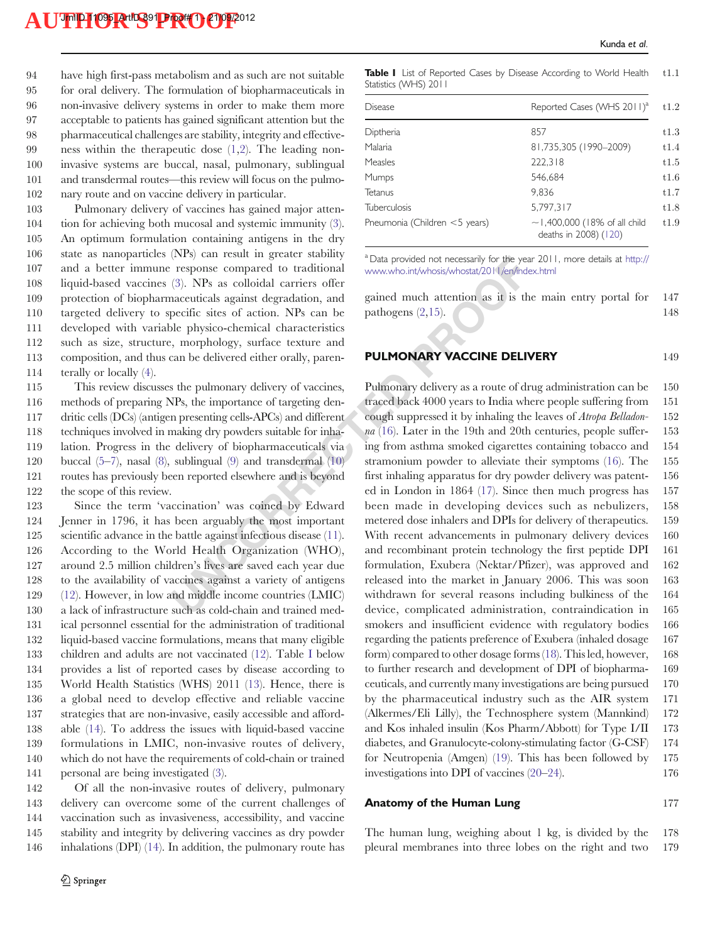have high first-pass metabolism and as such are not suitable for oral delivery. The formulation of biopharmaceuticals in non-invasive delivery systems in order to make them more acceptable to patients has gained significant attention but the pharmaceutical challenges are stability, integrity and effective- ness within the therapeutic dose [\(1,2](#page-18-0)). The leading non- invasive systems are buccal, nasal, pulmonary, sublingual and transdermal routes—this review will focus on the pulmo-nary route and on vaccine delivery in particular.

 Pulmonary delivery of vaccines has gained major atten- tion for achieving both mucosal and systemic immunity [\(3](#page-18-0)). An optimum formulation containing antigens in the dry state as nanoparticles (NPs) can result in greater stability and a better immune response compared to traditional liquid-based vaccines ([3\)](#page-18-0). NPs as colloidal carriers offer protection of biopharmaceuticals against degradation, and targeted delivery to specific sites of action. NPs can be developed with variable physico-chemical characteristics such as size, structure, morphology, surface texture and composition, and thus can be delivered either orally, paren-terally or locally [\(4](#page-18-0)).

 This review discusses the pulmonary delivery of vaccines, methods of preparing NPs, the importance of targeting den- dritic cells (DCs) (antigen presenting cells-APCs) and different techniques involved in making dry powders suitable for inha- lation. Progress in the delivery of biopharmaceuticals via buccal ([5](#page-18-0)–[7\)](#page-18-0), nasal ([8\)](#page-18-0), sublingual (9) and transdermal (10) routes has previously been reported elsewhere and is beyond the scope of this review.

 Since the term 'vaccination' was coined by Edward Jenner in 1796, it has been arguably the most important scientific advance in the battle against infectious disease (11). According to the World Health Organization (WHO), around 2.5 million children's lives are saved each year due to the availability of vaccines against a variety of antigens [\(12](#page-18-0)). However, in low and middle income countries (LMIC) a lack of infrastructure such as cold-chain and trained med- ical personnel essential for the administration of traditional liquid-based vaccine formulations, means that many eligible children and adults are not vaccinated [\(12](#page-18-0)). Table I below provides a list of reported cases by disease according to World Health Statistics (WHS) 2011 ([13\)](#page-18-0). Hence, there is a global need to develop effective and reliable vaccine strategies that are non-invasive, easily accessible and afford- able [\(14](#page-18-0)). To address the issues with liquid-based vaccine formulations in LMIC, non-invasive routes of delivery, which do not have the requirements of cold-chain or trained personal are being investigated ([3\)](#page-18-0).

 Of all the non-invasive routes of delivery, pulmonary delivery can overcome some of the current challenges of vaccination such as invasiveness, accessibility, and vaccine stability and integrity by delivering vaccines as dry powder inhalations (DPI) ([14\)](#page-18-0). In addition, the pulmonary route has

Table I List of Reported Cases by Disease According to World Health t1.1 Statistics (WHS) 2011

| <b>Disease</b>                   | Reported Cases (WHS 2011) <sup>a</sup>                      |  |
|----------------------------------|-------------------------------------------------------------|--|
| Diptheria                        | 857                                                         |  |
| Malaria                          | 81,735,305 (1990-2009)                                      |  |
| <b>Measles</b>                   | 222,318                                                     |  |
| Mumps                            | 546,684                                                     |  |
| Tetanus                          | 9.836                                                       |  |
| <b>Tuberculosis</b>              | 5.797.317                                                   |  |
| Pneumonia (Children $<$ 5 years) | $\sim$ 1,400,000 (18% of all child<br>deaths in 2008) (120) |  |

<sup>a</sup> Data provided not necessarily for the year 2011, more details at [http://](http://www.who.int/whosis/whostat/2011/en/index.html) [www.who.int/whosis/whostat/2011/en/index.html](http://www.who.int/whosis/whostat/2011/en/index.html)

gained much attention as it is the main entry portal for 147 pathogens (2,15). 148

#### **PULMONARY VACCINE DELIVERY** 149

Figure 1 resume in guestar mannum power only and the year of the seare is response compared to traditional www.who.int/whosis/whostst/2011/en/nd(3). NPs as colloidal carriers offer anceuticals against degradation, and gai Pulmonary delivery as a route of drug administration can be 150 traced back 4000 years to India where people suffering from 151 cough suppressed it by inhaling the leaves of Atropa Belladon- 152  $na(16)$ . Later in the 19th and 20th centuries, people suffer- 153 ing from asthma smoked cigarettes containing tobacco and 154 stramonium powder to alleviate their symptoms ([16\)](#page-18-0). The 155 first inhaling apparatus for dry powder delivery was patent- 156 ed in London in 1864 [\(17](#page-18-0)). Since then much progress has 157 been made in developing devices such as nebulizers, 158 metered dose inhalers and DPIs for delivery of therapeutics. 159 With recent advancements in pulmonary delivery devices 160 and recombinant protein technology the first peptide DPI 161 formulation, Exubera (Nektar/Pfizer), was approved and 162 released into the market in January 2006. This was soon 163 withdrawn for several reasons including bulkiness of the 164 device, complicated administration, contraindication in 165 smokers and insufficient evidence with regulatory bodies 166 regarding the patients preference of Exubera (inhaled dosage 167 form) compared to other dosage forms [\(18\)](#page-18-0). This led, however, 168 to further research and development of DPI of biopharma- 169 ceuticals, and currently many investigations are being pursued 170 by the pharmaceutical industry such as the AIR system 171 (Alkermes/Eli Lilly), the Technosphere system (Mannkind) 172 and Kos inhaled insulin (Kos Pharm/Abbott) for Type I/II 173 diabetes, and Granulocyte-colony-stimulating factor (G-CSF) 174 for Neutropenia (Amgen) ([19\)](#page-18-0). This has been followed by 175 investigations into DPI of vaccines ([20](#page-18-0)–[24](#page-18-0)). 176

#### Anatomy of the Human Lung 177

The human lung, weighing about 1 kg, is divided by the 178 pleural membranes into three lobes on the right and two 179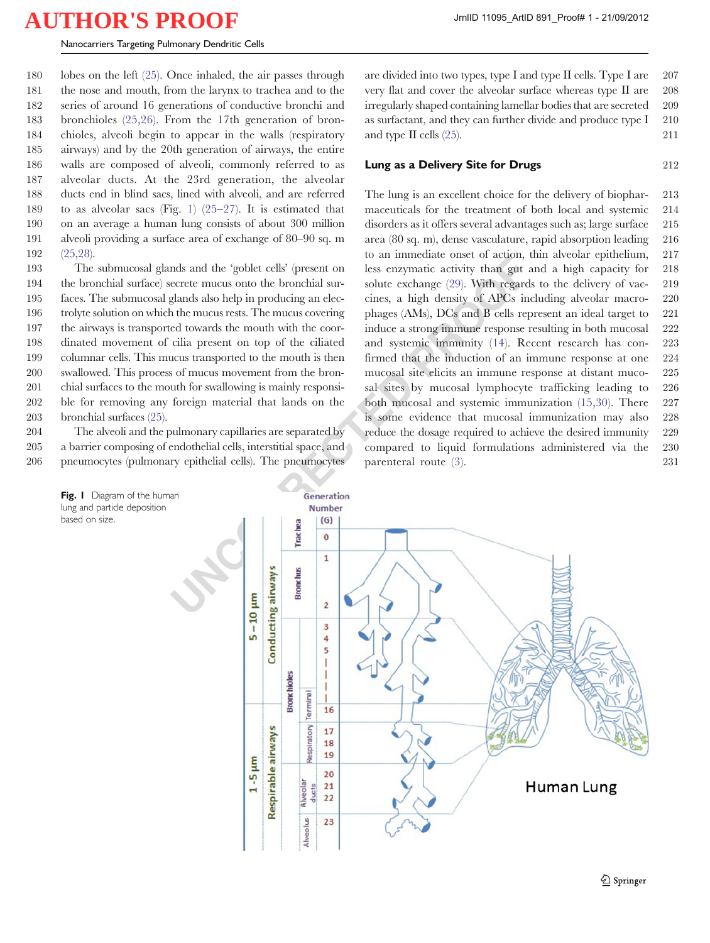#### <span id="page-7-0"></span>Nanocarriers Targeting Pulmonary Dendritic Cells

 lobes on the left ([25\)](#page-18-0). Once inhaled, the air passes through the nose and mouth, from the larynx to trachea and to the series of around 16 generations of conductive bronchi and bronchioles [\(25](#page-18-0),[26](#page-18-0)). From the 17th generation of bron- chioles, alveoli begin to appear in the walls (respiratory airways) and by the 20th generation of airways, the entire walls are composed of alveoli, commonly referred to as alveolar ducts. At the 23rd generation, the alveolar ducts end in blind sacs, lined with alveoli, and are referred to as alveolar sacs (Fig. 1) ([25](#page-18-0)–[27\)](#page-18-0). It is estimated that on an average a human lung consists of about 300 million alveoli providing a surface area of exchange of 80–90 sq. m 192 [\(25,28](#page-18-0)).

 The submucosal glands and the 'goblet cells' (present on the bronchial surface) secrete mucus onto the bronchial sur- faces. The submucosal glands also help in producing an elec- trolyte solution on which the mucus rests. The mucus covering the airways is transported towards the mouth with the coor- dinated movement of cilia present on top of the ciliated columnar cells. This mucus transported to the mouth is then swallowed. This process of mucus movement from the bron- chial surfaces to the mouth for swallowing is mainly responsi- ble for removing any foreign material that lands on the bronchial surfaces [\(25\)](#page-18-0).

204 The alveoli and the pulmonary capillaries are separated by 205 a barrier composing of endothelial cells, interstitial space, and 206 pneumocytes (pulmonary epithelial cells). The pneumocytes

based on size.



are divided into two types, type I and type II cells. Type I are  $207$ very flat and cover the alveolar surface whereas type II are 208 irregularly shaped containing lamellar bodies that are secreted 209 as surfactant, and they can further divide and produce type  $I = 210$ and type II cells [\(25](#page-18-0)). 211

#### **Lung as a Delivery Site for Drugs 212** 212

The lung is an excellent choice for the delivery of biophar- 213 maceuticals for the treatment of both local and systemic 214 disorders as it offers several advantages such as; large surface 215 area (80 sq. m), dense vasculature, rapid absorption leading 216 to an immediate onset of action, thin alveolar epithelium, 217 less enzymatic activity than gut and a high capacity for 218 solute exchange (29). With regards to the delivery of vac- 219 cines, a high density of APCs including alveolar macro- 220 phages (AMs), DCs and B cells represent an ideal target to 221 induce a strong immune response resulting in both mucosal 222 and systemic immunity (14). Recent research has con- 223 firmed that the induction of an immune response at one 224 mucosal site elicits an immune response at distant muco- 225 sal sites by mucosal lymphocyte trafficking leading to 226 both mucosal and systemic immunization ([15](#page-18-0),[30](#page-18-0)). There 227 is some evidence that mucosal immunization may also 228 reduce the dosage required to achieve the desired immunity 229 compared to liquid formulations administered via the 230 parenteral route [\(3](#page-18-0)). 231

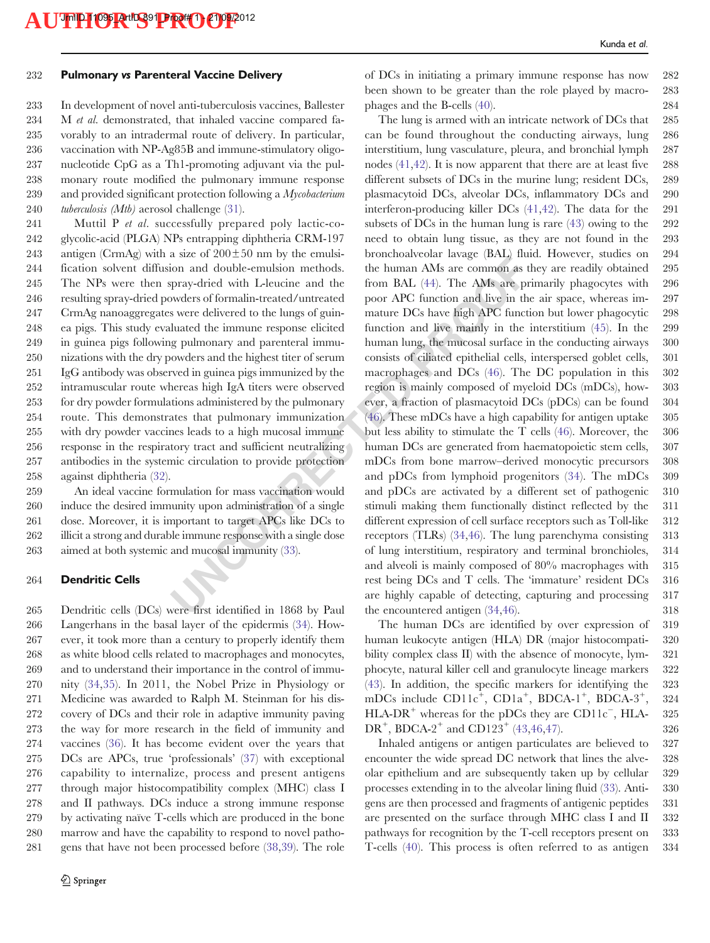#### 232 Pulmonary vs Parenteral Vaccine Delivery

 In development of novel anti-tuberculosis vaccines, Ballester 234 M et al. demonstrated, that inhaled vaccine compared fa- vorably to an intradermal route of delivery. In particular, vaccination with NP-Ag85B and immune-stimulatory oligo- nucleotide CpG as a Th1-promoting adjuvant via the pul- monary route modified the pulmonary immune response 239 and provided significant protection following a  $Mycobacterium$ *tuberculosis (Mtb)* aerosol challenge ([31\)](#page-18-0).

 Muttil P et al. successfully prepared poly lactic-co- glycolic-acid (PLGA) NPs entrapping diphtheria CRM-197 243 antigen (CrmAg) with a size of  $200 \pm 50$  nm by the emulsi- fication solvent diffusion and double-emulsion methods. The NPs were then spray-dried with L-leucine and the resulting spray-dried powders of formalin-treated/untreated CrmAg nanoaggregates were delivered to the lungs of guin- ea pigs. This study evaluated the immune response elicited in guinea pigs following pulmonary and parenteral immu- nizations with the dry powders and the highest titer of serum IgG antibody was observed in guinea pigs immunized by the intramuscular route whereas high IgA titers were observed for dry powder formulations administered by the pulmonary route. This demonstrates that pulmonary immunization with dry powder vaccines leads to a high mucosal immune response in the respiratory tract and sufficient neutralizing antibodies in the systemic circulation to provide protection against diphtheria ([32\)](#page-18-0).

 An ideal vaccine formulation for mass vaccination would induce the desired immunity upon administration of a single dose. Moreover, it is important to target APCs like DCs to illicit a strong and durable immune response with a single dose aimed at both systemic and mucosal immunity (33).

#### 264 Dendritic Cells

 Dendritic cells (DCs) were first identified in 1868 by Paul Langerhans in the basal layer of the epidermis ([34\)](#page-18-0). How- ever, it took more than a century to properly identify them as white blood cells related to macrophages and monocytes, and to understand their importance in the control of immu- nity ([34,35\)](#page-18-0). In 2011, the Nobel Prize in Physiology or Medicine was awarded to Ralph M. Steinman for his dis- covery of DCs and their role in adaptive immunity paving the way for more research in the field of immunity and vaccines ([36](#page-18-0)). It has become evident over the years that DCs are APCs, true 'professionals' [\(37](#page-19-0)) with exceptional capability to internalize, process and present antigens through major histocompatibility complex (MHC) class I and II pathways. DCs induce a strong immune response by activating naïve T-cells which are produced in the bone marrow and have the capability to respond to novel patho-gens that have not been processed before [\(38](#page-19-0),[39\)](#page-19-0). The role of DCs in initiating a primary immune response has now 282 been shown to be greater than the role played by macro- 283 phages and the B-cells [\(40](#page-19-0)). 284

and a and double-emulsion methods. The human AMs are common as two cases of formal<br>in-methods. The human AMs are common as the pay-dricd with L-leucine and the from BAL (44). The AMs are provers of formal<br>in-treated/untre The lung is armed with an intricate network of DCs that 285 can be found throughout the conducting airways, lung 286 interstitium, lung vasculature, pleura, and bronchial lymph 287 nodes [\(41](#page-19-0),[42\)](#page-19-0). It is now apparent that there are at least five 288 different subsets of DCs in the murine lung; resident DCs, 289 plasmacytoid DCs, alveolar DCs, inflammatory DCs and 290 interferon-producing killer DCs [\(41](#page-19-0),[42\)](#page-19-0). The data for the 291 subsets of DCs in the human lung is rare  $(43)$  $(43)$  owing to the 292 need to obtain lung tissue, as they are not found in the 293 bronchoalveolar lavage (BAL) fluid. However, studies on 294 the human AMs are common as they are readily obtained 295 from BAL (44). The AMs are primarily phagocytes with 296 poor APC function and live in the air space, whereas im- 297 mature DCs have high APC function but lower phagocytic 298 function and live mainly in the interstitium [\(45\)](#page-19-0). In the 299 human lung, the mucosal surface in the conducting airways 300 consists of ciliated epithelial cells, interspersed goblet cells, 301 macrophages and DCs ([46](#page-19-0)). The DC population in this 302 region is mainly composed of myeloid DCs (mDCs), how- 303 ever, a fraction of plasmacytoid DCs (pDCs) can be found 304 (46). These mDCs have a high capability for antigen uptake 305 but less ability to stimulate the T cells ([46\)](#page-19-0). Moreover, the 306 human DCs are generated from haematopoietic stem cells, 307 mDCs from bone marrow–derived monocytic precursors 308 and pDCs from lymphoid progenitors [\(34\)](#page-18-0). The mDCs 309 and pDCs are activated by a different set of pathogenic 310 stimuli making them functionally distinct reflected by the 311 different expression of cell surface receptors such as Toll-like 312 receptors (TLRs) [\(34](#page-18-0),[46\)](#page-19-0). The lung parenchyma consisting 313 of lung interstitium, respiratory and terminal bronchioles, 314 and alveoli is mainly composed of 80% macrophages with 315 rest being DCs and T cells. The 'immature' resident DCs 316 are highly capable of detecting, capturing and processing 317 the encountered antigen [\(34](#page-18-0),[46\)](#page-19-0).  $318$ 

> The human DCs are identified by over expression of 319 human leukocyte antigen (HLA) DR (major histocompati- 320 bility complex class II) with the absence of monocyte, lym- 321 phocyte, natural killer cell and granulocyte lineage markers 322 ([43\)](#page-19-0). In addition, the specific markers for identifying the 323 mDCs include  $CD11c^+$ ,  $CD1a^+$ ,  $BDCA-1^+$ ,  $BDCA-3^+$ , 324  $HLA-DR^+$  whereas for the pDCs they are CD11c<sup>-</sup>, HLA- 325  $DR^+$ , BDCA-2<sup>+</sup> and CD123<sup>+</sup> ([43,46](#page-19-0),[47\)](#page-19-0). 326

> Inhaled antigens or antigen particulates are believed to 327 encounter the wide spread DC network that lines the alve- 328 olar epithelium and are subsequently taken up by cellular 329 processes extending in to the alveolar lining fluid [\(33](#page-18-0)). Anti- 330 gens are then processed and fragments of antigenic peptides 331 are presented on the surface through MHC class I and II 332 pathways for recognition by the T-cell receptors present on 333 T-cells [\(40](#page-19-0)). This process is often referred to as antigen 334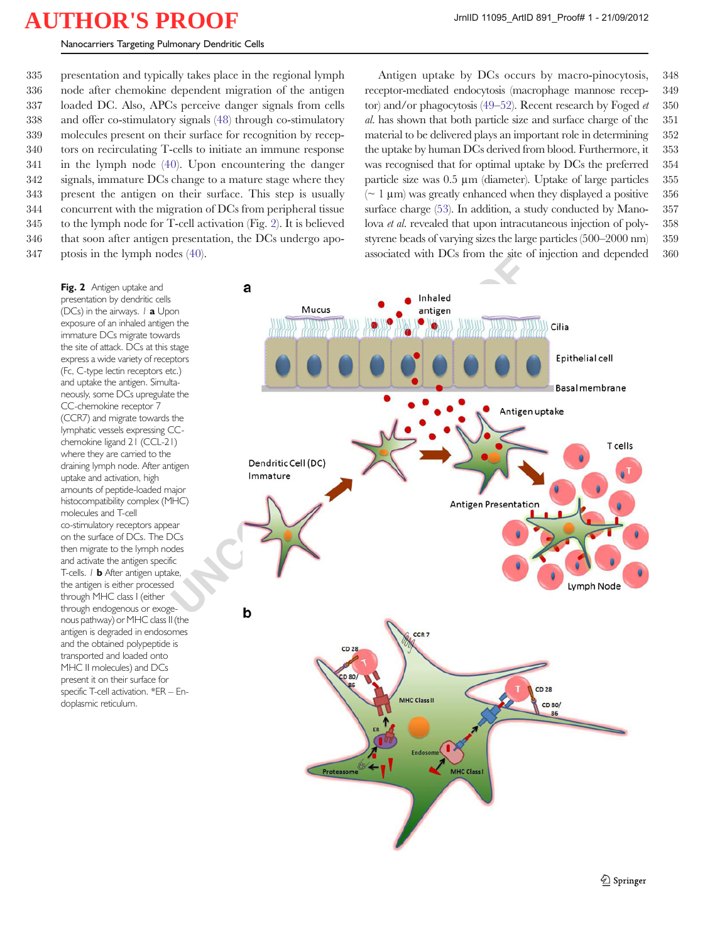Nanocarriers Targeting Pulmonary Dendritic Cells

 presentation and typically takes place in the regional lymph node after chemokine dependent migration of the antigen loaded DC. Also, APCs perceive danger signals from cells and offer co-stimulatory signals ([48\)](#page-19-0) through co-stimulatory molecules present on their surface for recognition by recep- tors on recirculating T-cells to initiate an immune response in the lymph node ([40](#page-19-0)). Upon encountering the danger signals, immature DCs change to a mature stage where they present the antigen on their surface. This step is usually concurrent with the migration of DCs from peripheral tissue to the lymph node for T-cell activation (Fig. 2). It is believed that soon after antigen presentation, the DCs undergo apo-ptosis in the lymph nodes ([40\)](#page-19-0).

Antigen uptake by DCs occurs by macro-pinocytosis, 348 receptor-mediated endocytosis (macrophage mannose recep- 349 tor) and/or phagocytosis [\(49](#page-19-0)–[52](#page-19-0)). Recent research by Foged  $et = 350$ al. has shown that both particle size and surface charge of the 351 material to be delivered plays an important role in determining 352 the uptake by human DCs derived from blood. Furthermore, it 353 was recognised that for optimal uptake by DCs the preferred 354 particle size was 0.5 μm (diameter). Uptake of large particles 355  $\sim 1 \,\mu m$ ) was greatly enhanced when they displayed a positive 356 surface charge ([53](#page-19-0)). In addition, a study conducted by Mano- 357 lova et al. revealed that upon intracutaneous injection of poly- 358 styrene beads of varying sizes the large particles (500–2000 nm) 359 associated with DCs from the site of injection and depended 360

Fig. 2 Antigen uptake and presentation by dendritic cells (DCs) in the airways.  $1$  **a** Upon exposure of an inhaled antigen the immature DCs migrate towards the site of attack. DCs at this stage express a wide variety of receptors (Fc, C-type lectin receptors etc.) and uptake the antigen. Simultaneously, some DCs upregulate the CC-chemokine receptor 7 (CCR7) and migrate towards the lymphatic vessels expressing CCchemokine ligand 21 (CCL-21) where they are carried to the draining lymph node. After antigen uptake and activation, high amounts of peptide-loaded major histocompatibility complex (MHC) molecules and T-cell co-stimulatory receptors appear on the surface of DCs. The DCs then migrate to the lymph nodes and activate the antigen specific T-cells. *I* **b** After antigen uptake, the antigen is either processed through MHC class I (either through endogenous or exogenous pathway) or MHC class II (the antigen is degraded in endosomes and the obtained polypeptide is transported and loaded onto MHC II molecules) and DCs present it on their surface for specific T-cell activation. \*ER – Endoplasmic reticulum.

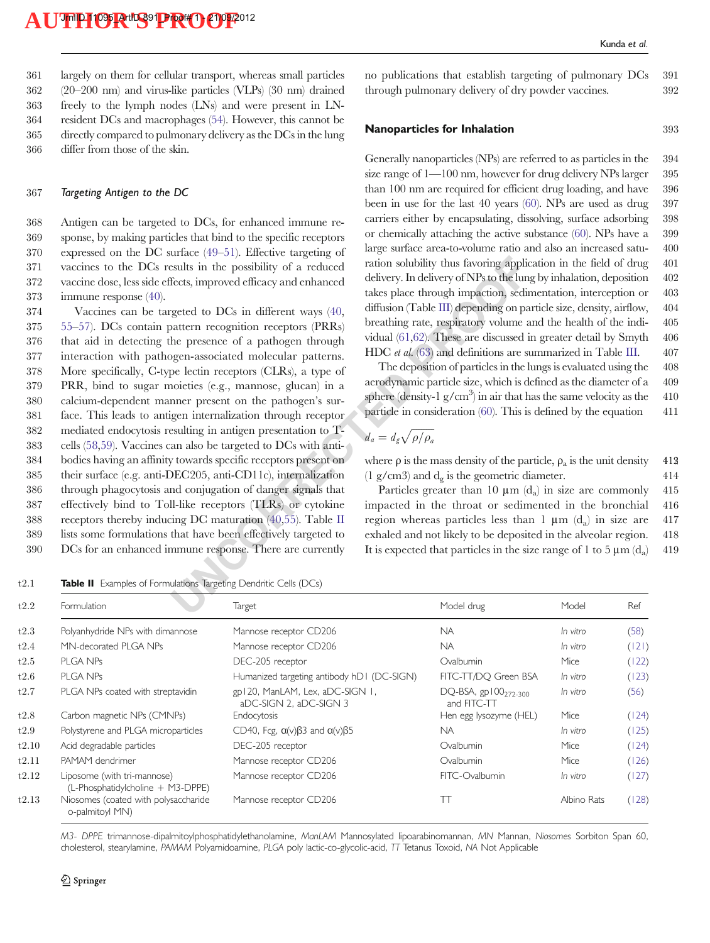largely on them for cellular transport, whereas small particles (20–200 nm) and virus-like particles (VLPs) (30 nm) drained freely to the lymph nodes (LNs) and were present in LN- resident DCs and macrophages [\(54\)](#page-19-0). However, this cannot be directly compared to pulmonary delivery as the DCs in the lung differ from those of the skin.

#### 367 Targeting Antigen to the DC

 Antigen can be targeted to DCs, for enhanced immune re- sponse, by making particles that bind to the specific receptors expressed on the DC surface [\(49](#page-19-0)–[51\)](#page-19-0). Effective targeting of vaccines to the DCs results in the possibility of a reduced vaccine dose, less side effects, improved efficacy and enhanced immune response ([40](#page-19-0)).

saults in the possibility of a reduced<br>
ration solubility thus favoring applies sealts in the possibility of a reduced<br>
delivery. In delivery of NPs to the lun<br>
geted to DCs in different ways (40<br>
diffusion (Table III) de Vaccines can be targeted to DCs in different ways ([40,](#page-19-0) [55](#page-19-0)–[57\)](#page-19-0). DCs contain pattern recognition receptors (PRRs) that aid in detecting the presence of a pathogen through interaction with pathogen-associated molecular patterns. More specifically, C-type lectin receptors (CLRs), a type of PRR, bind to sugar moieties (e.g., mannose, glucan) in a calcium-dependent manner present on the pathogen's sur- face. This leads to antigen internalization through receptor mediated endocytosis resulting in antigen presentation to T- cells [\(58,59](#page-19-0)). Vaccines can also be targeted to DCs with anti- bodies having an affinity towards specific receptors present on their surface (e.g. anti-DEC205, anti-CD11c), internalization through phagocytosis and conjugation of danger signals that effectively bind to Toll-like receptors (TLRs) or cytokine receptors thereby inducing DC maturation (40,55). Table II lists some formulations that have been effectively targeted to DCs for an enhanced immune response. There are currently

t2.1 **Table II** Examples of Formulations Targeting Dendritic Cells (DCs)

no publications that establish targeting of pulmonary DCs 391 through pulmonary delivery of dry powder vaccines.  $392$ 

#### Nanoparticles for Inhalation 393

Generally nanoparticles (NPs) are referred to as particles in the 394 size range of 1—100 nm, however for drug delivery NPs larger 395 than 100 nm are required for efficient drug loading, and have 396 been in use for the last 40 years ([60](#page-19-0)). NPs are used as drug 397 carriers either by encapsulating, dissolving, surface adsorbing 398 or chemically attaching the active substance [\(60\)](#page-19-0). NPs have a 399 large surface area-to-volume ratio and also an increased satu- 400 ration solubility thus favoring application in the field of drug 401 delivery. In delivery of NPs to the lung by inhalation, deposition 402 takes place through impaction, sedimentation, interception or 403 diffusion (Table III) depending on particle size, density, airflow, 404 breathing rate, respiratory volume and the health of the indi- 405 vidual ([61](#page-19-0),62). These are discussed in greater detail by Smyth 406 HDC *et al.* (63) and definitions are summarized in Table [III.](#page-11-0)  $407$ 

The deposition of particles in the lungs is evaluated using the 408 aerodynamic particle size, which is defined as the diameter of a 409 sphere (density-1  $g/cm^3$ ) in air that has the same velocity as the 410 particle in consideration  $(60)$  $(60)$ . This is defined by the equation  $411$ 

$$
d_a = d_g \sqrt{\rho/\rho_a}
$$

where  $\rho$  is the mass density of the particle,  $\rho_a$  is the unit density 412  $(1 \text{ g/cm}^3)$  and  $d_{\varphi}$  is the geometric diameter. 414

Particles greater than 10  $\mu$ m (d<sub>a</sub>) in size are commonly 415 impacted in the throat or sedimented in the bronchial 416 region whereas particles less than 1  $\mu$ m (d<sub>a</sub>) in size are 417 exhaled and not likely to be deposited in the alveolar region. 418 It is expected that particles in the size range of 1 to 5  $\mu$ m (d<sub>a</sub>) 419

| Formulation                                                      | <b>Target</b>                                              | Model drug                                   | Model       | Ref   |
|------------------------------------------------------------------|------------------------------------------------------------|----------------------------------------------|-------------|-------|
| Polyanhydride NPs with dimannose                                 | Mannose receptor CD206                                     | <b>NA</b>                                    | In vitro    | (58)  |
| MN-decorated PLGA NPs                                            | Mannose receptor CD206                                     | <b>NA</b>                                    | In vitro    | (121) |
| <b>PLGA NPs</b>                                                  | DEC-205 receptor                                           | Ovalbumin                                    | Mice        | (122) |
| <b>PLGA NPs</b>                                                  | Humanized targeting antibody hD1 (DC-SIGN)                 | FITC-TT/DO Green BSA                         | In vitro    | (123) |
| PLGA NPs coated with streptavidin                                | gp120, ManLAM, Lex, aDC-SIGN 1,<br>aDC-SIGN 2. aDC-SIGN 3  | $DQ$ -BSA, gp $100_{272-300}$<br>and FITC-TT | In vitro    | (56)  |
| Carbon magnetic NPs (CMNPs)                                      | Endocytosis                                                | Hen egg lysozyme (HEL)                       | Mice        | (124) |
| Polystyrene and PLGA microparticles                              | CD40, Fcg, $\alpha(v)$ $\beta$ 3 and $\alpha(v)$ $\beta$ 5 | <b>NA</b>                                    | In vitro    | (125) |
| Acid degradable particles                                        | DEC-205 receptor                                           | Ovalbumin                                    | Mice        | (124) |
| PAMAM dendrimer                                                  | Mannose receptor CD206                                     | Ovalbumin                                    | Mice        | (126) |
| Liposome (with tri-mannose)<br>(L-Phosphatidylcholine + M3-DPPE) | Mannose receptor CD206                                     | FITC-Ovalbumin                               | In vitro    | (127) |
| Niosomes (coated with polysaccharide<br>o-palmitoyl MN)          | Mannose receptor CD206                                     | Π                                            | Albino Rats | (128) |
|                                                                  |                                                            |                                              |             |       |

M3- DPPE trimannose-dipalmitoylphosphatidylethanolamine, ManLAM Mannosylated lipoarabinomannan, MN Mannan, Niosomes Sorbiton Span 60, cholesterol, stearylamine, PAMAM Polyamidoamine, PLGA poly lactic-co-glycolic-acid, TT Tetanus Toxoid, NA Not Applicable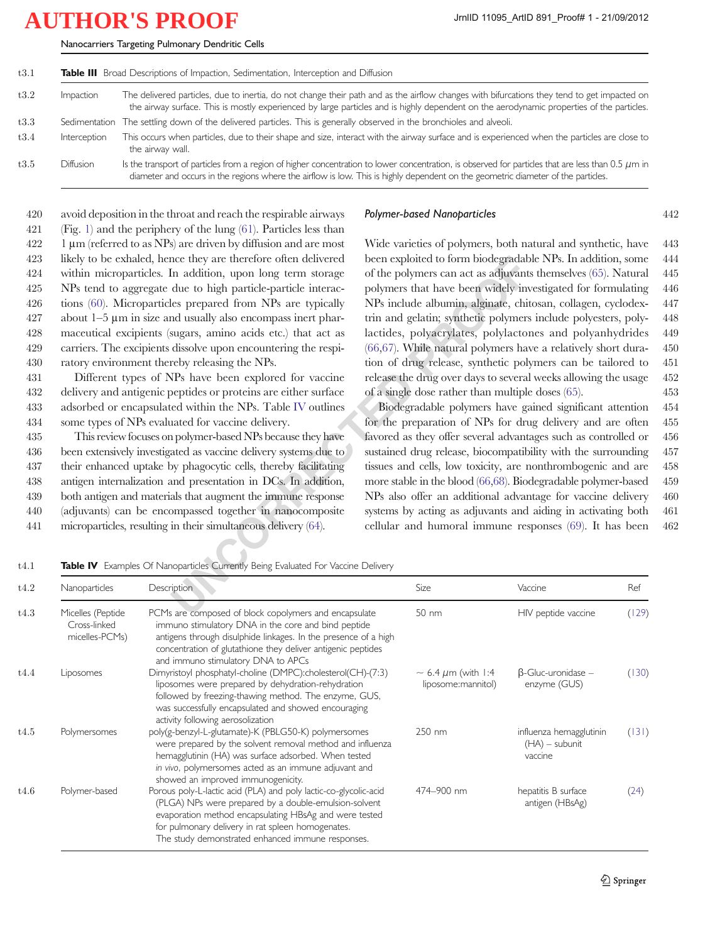| Impaction        | The delivered particles, due to inertia, do not change their path and as the airflow changes with bifurcations they tend to get impacted on<br>the airway surface. This is mostly experienced by large particles and is highly dependent on the aerodynamic properties of the particles.     |
|------------------|----------------------------------------------------------------------------------------------------------------------------------------------------------------------------------------------------------------------------------------------------------------------------------------------|
|                  | Sedimentation The settling down of the delivered particles. This is generally observed in the bronchioles and alveoli.                                                                                                                                                                       |
| Interception     | This occurs when particles, due to their shape and size, interact with the airway surface and is experienced when the particles are close to<br>the airway wall.                                                                                                                             |
| <b>Diffusion</b> | Is the transport of particles from a region of higher concentration to lower concentration, is observed for particles that are less than 0.5 $\mu$ m in<br>diameter and occurs in the regions where the airflow is low. This is highly dependent on the geometric diameter of the particles. |

<span id="page-11-0"></span>Nanocarriers Targeting Pulmonary Dendritic Cells

 avoid deposition in the throat and reach the respirable airways (Fig. [1\)](#page-7-0) and the periphery of the lung ([61](#page-19-0)). Particles less than 1 µm (referred to as NPs) are driven by diffusion and are most likely to be exhaled, hence they are therefore often delivered within microparticles. In addition, upon long term storage NPs tend to aggregate due to high particle-particle interac- tions [\(60](#page-19-0)). Microparticles prepared from NPs are typically about  $1-5 \mu m$  in size and usually also encompass inert phar- maceutical excipients (sugars, amino acids etc.) that act as carriers. The excipients dissolve upon encountering the respi-ratory environment thereby releasing the NPs.

 Different types of NPs have been explored for vaccine delivery and antigenic peptides or proteins are either surface adsorbed or encapsulated within the NPs. Table IV outlines some types of NPs evaluated for vaccine delivery.

 This review focuses on polymer-based NPs because they have been extensively investigated as vaccine delivery systems due to their enhanced uptake by phagocytic cells, thereby facilitating antigen internalization and presentation in DCs. In addition, both antigen and materials that augment the immune response (adjuvants) can be encompassed together in nanocomposite microparticles, resulting in their simultaneous delivery (64).

#### Polymer-based Nanoparticles 442

nce they are therefore often delivered<br>
head been exploited to form biodegradal:<br>
In addition, upon long term storage of the polymers can act as a dijuvant<br>
det to high particle-particle interac-<br>
les prepared from NPs ar Wide varieties of polymers, both natural and synthetic, have 443 been exploited to form biodegradable NPs. In addition, some 444 of the polymers can act as adjuvants themselves ([65](#page-19-0)). Natural 445 polymers that have been widely investigated for formulating 446 NPs include albumin, alginate, chitosan, collagen, cyclodex- 447 trin and gelatin; synthetic polymers include polyesters, poly- 448 lactides, polyacrylates, polylactones and polyanhydrides 449 [\(66](#page-19-0),[67](#page-19-0)). While natural polymers have a relatively short dura- 450 tion of drug release, synthetic polymers can be tailored to 451 release the drug over days to several weeks allowing the usage 452 of a single dose rather than multiple doses [\(65\)](#page-19-0). 453

Biodegradable polymers have gained significant attention 454 for the preparation of NPs for drug delivery and are often 455 favored as they offer several advantages such as controlled or 456 sustained drug release, biocompatibility with the surrounding 457 tissues and cells, low toxicity, are nonthrombogenic and are 458 more stable in the blood [\(66,68](#page-19-0)). Biodegradable polymer-based 459 NPs also offer an additional advantage for vaccine delivery 460 systems by acting as adjuvants and aiding in activating both 461 cellular and humoral immune responses [\(69](#page-19-0)). It has been 462

t4.1 **Table IV** Examples Of Nanoparticles Currently Being Evaluated For Vaccine Delivery

| t4.2 | Nanoparticles                                       | Description                                                                                                                                                                                                                                                                                   | Size                                               | Vaccine                                                | Ref   |
|------|-----------------------------------------------------|-----------------------------------------------------------------------------------------------------------------------------------------------------------------------------------------------------------------------------------------------------------------------------------------------|----------------------------------------------------|--------------------------------------------------------|-------|
| t4.3 | Micelles (Peptide<br>Cross-linked<br>micelles-PCMs) | PCMs are composed of block copolymers and encapsulate<br>immuno stimulatory DNA in the core and bind peptide<br>antigens through disulphide linkages. In the presence of a high<br>concentration of glutathione they deliver antigenic peptides<br>and immuno stimulatory DNA to APCs         | 50 nm                                              | HIV peptide vaccine                                    | (129) |
| t4.4 | Liposomes                                           | Dimyristoyl phosphatyl-choline (DMPC):cholesterol(CH)-(7:3)<br>liposomes were prepared by dehydration-rehydration<br>followed by freezing-thawing method. The enzyme, GUS,<br>was successfully encapsulated and showed encouraging<br>activity following aerosolization                       | $\sim$ 6.4 $\mu$ m (with 1:4<br>liposome:mannitol) | $\beta$ -Gluc-uronidase –<br>enzyme (GUS)              | (130) |
| t4.5 | Polymersomes                                        | poly(g-benzyl-L-glutamate)-K (PBLG50-K) polymersomes<br>were prepared by the solvent removal method and influenza<br>hemagglutinin (HA) was surface adsorbed. When tested<br>in vivo, polymersomes acted as an immune adjuvant and<br>showed an improved immunogenicity.                      | $250 \, \text{nm}$                                 | influenza hemagglutinin<br>$(HA)$ – subunit<br>vaccine | (131) |
| t4.6 | Polymer-based                                       | Porous poly-L-lactic acid (PLA) and poly lactic-co-glycolic-acid<br>(PLGA) NPs were prepared by a double-emulsion-solvent<br>evaporation method encapsulating HBsAg and were tested<br>for pulmonary delivery in rat spleen homogenates.<br>The study demonstrated enhanced immune responses. | 474-900 nm                                         | hepatitis B surface<br>antigen (HBsAg)                 | (24)  |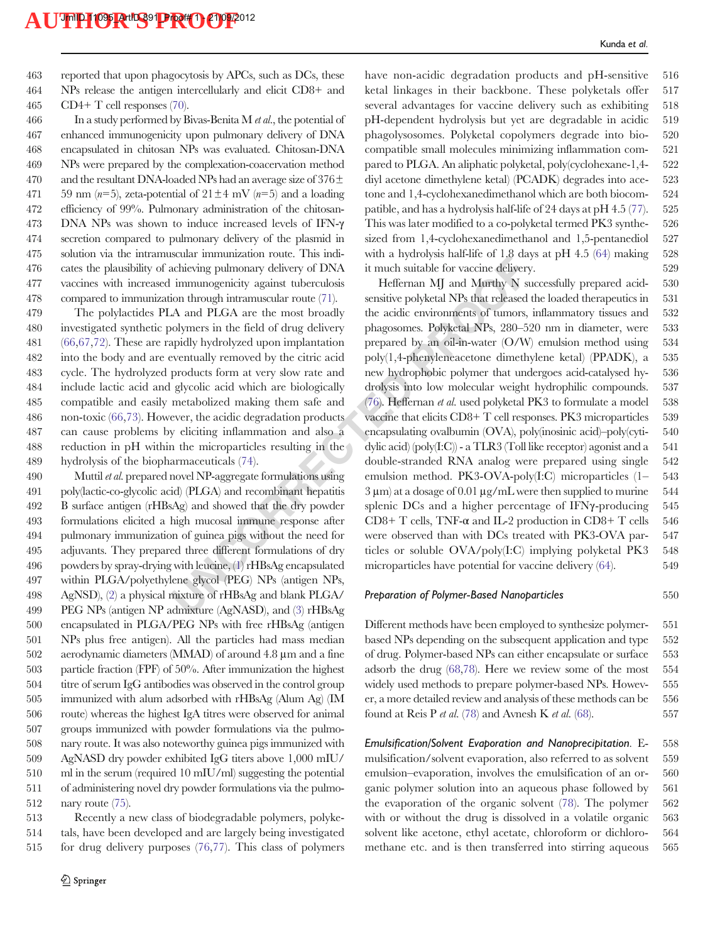463 reported that upon phagocytosis by APCs, such as DCs, these 464 NPs release the antigen intercellularly and elicit CD8+ and 465 CD4+ T cell responses ([70](#page-19-0)).

466 In a study performed by Bivas-Benita M et al., the potential of enhanced immunogenicity upon pulmonary delivery of DNA encapsulated in chitosan NPs was evaluated. Chitosan-DNA NPs were prepared by the complexation-coacervation method 470 and the resultant DNA-loaded NPs had an average size of  $376\pm$ 471 59 nm (n=5), zeta-potential of  $21 \pm 4$  mV (n=5) and a loading efficiency of 99%. Pulmonary administration of the chitosan- DNA NPs was shown to induce increased levels of IFN-γ secretion compared to pulmonary delivery of the plasmid in solution via the intramuscular immunization route. This indi- cates the plausibility of achieving pulmonary delivery of DNA vaccines with increased immunogenicity against tuberculosis compared to immunization through intramuscular route ([71\)](#page-19-0).

 The polylactides PLA and PLGA are the most broadly investigated synthetic polymers in the field of drug delivery [\(66](#page-19-0),[67,72](#page-19-0)). These are rapidly hydrolyzed upon implantation into the body and are eventually removed by the citric acid cycle. The hydrolyzed products form at very slow rate and include lactic acid and glycolic acid which are biologically compatible and easily metabolized making them safe and non-toxic [\(66](#page-19-0),[73\)](#page-19-0). However, the acidic degradation products can cause problems by eliciting inflammation and also a reduction in pH within the microparticles resulting in the hydrolysis of the biopharmaceuticals (74).

 Muttil et al. prepared novel NP-aggregate formulations using poly(lactic-co-glycolic acid) (PLGA) and recombinant hepatitis B surface antigen (rHBsAg) and showed that the dry powder formulations elicited a high mucosal immune response after pulmonary immunization of guinea pigs without the need for adjuvants. They prepared three different formulations of dry powders by spray-drying with leucine, (1) rHBsAg encapsulated within PLGA/polyethylene glycol (PEG) NPs (antigen NPs, AgNSD), [\(2](#page-18-0)) a physical mixture of rHBsAg and blank PLGA/ PEG NPs (antigen NP admixture (AgNASD), and (3) rHBsAg encapsulated in PLGA/PEG NPs with free rHBsAg (antigen NPs plus free antigen). All the particles had mass median aerodynamic diameters (MMAD) of around 4.8 μm and a fine particle fraction (FPF) of 50%. After immunization the highest titre of serum IgG antibodies was observed in the control group immunized with alum adsorbed with rHBsAg (Alum Ag) (IM route) whereas the highest IgA titres were observed for animal groups immunized with powder formulations via the pulmo- nary route. It was also noteworthy guinea pigs immunized with AgNASD dry powder exhibited IgG titers above 1,000 mIU/ ml in the serum (required 10 mIU/ml) suggesting the potential of administering novel dry powder formulations via the pulmo-nary route [\(75\)](#page-19-0).

513 Recently a new class of biodegradable polymers, polyke-514 tals, have been developed and are largely being investigated 515 for drug delivery purposes [\(76](#page-19-0),[77\)](#page-19-0). This class of polymers have non-acidic degradation products and pH-sensitive 516 ketal linkages in their backbone. These polyketals offer 517 several advantages for vaccine delivery such as exhibiting 518 pH-dependent hydrolysis but yet are degradable in acidic 519 phagolysosomes. Polyketal copolymers degrade into bio- 520 compatible small molecules minimizing inflammation com- 521 pared to PLGA. An aliphatic polyketal, poly(cyclohexane-1,4- 522 diyl acetone dimethylene ketal) (PCADK) degrades into ace- 523 tone and 1,4-cyclohexanedimethanol which are both biocom- 524 patible, and has a hydrolysis half-life of 24 days at pH 4.5 ([77](#page-19-0)). 525 This was later modified to a co-polyketal termed PK3 synthe- 526 sized from 1,4-cyclohexanedimethanol and 1,5-pentanediol 527 with a hydrolysis half-life of 1.8 days at pH 4.5  $(64)$  making 528 it much suitable for vaccine delivery. 529

Exame the method water in the spin of the system in the suidant of the spin dechiving pulmonary delivery of DNA in much suitable for vaccine delivery immunogenicity against tuberculosis Heffernan MJ and Murthy N sin throu Heffernan MJ and Murthy N successfully prepared acid- 530 sensitive polyketal NPs that released the loaded therapeutics in 531 the acidic environments of tumors, inflammatory tissues and 532 phagosomes. Polyketal NPs, 280–520 nm in diameter, were 533 prepared by an oil-in-water (O/W) emulsion method using 534 poly(1,4-phenyleneacetone dimethylene ketal) (PPADK), a 535 new hydrophobic polymer that undergoes acid-catalysed hy- 536 drolysis into low molecular weight hydrophilic compounds. 537 (76). Heffernan et al. used polyketal PK3 to formulate a model  $538$ vaccine that elicits CD8+ T cell responses. PK3 microparticles 539 encapsulating ovalbumin (OVA), poly(inosinic acid)–poly(cyti- 540 dylic acid)  $\langle \text{poly}(I:C) \rangle$  - a TLR3 (Toll like receptor) agonist and a 541 double-stranded RNA analog were prepared using single 542 emulsion method. PK3-OVA-poly(I:C) microparticles (1– 543  $3 \mu$ m) at a dosage of 0.01  $\mu$ g/mL were then supplied to murine 544 splenic DCs and a higher percentage of IFNγ-producing 545 CD8+ T cells, TNF- $\alpha$  and IL-2 production in CD8+ T cells 546 were observed than with DCs treated with PK3-OVA par- 547 ticles or soluble OVA/poly(I:C) implying polyketal PK3 548 microparticles have potential for vaccine delivery [\(64](#page-19-0)).  $549$ 

#### Preparation of Polymer-Based Nanoparticles 550

Different methods have been employed to synthesize polymer- 551 based NPs depending on the subsequent application and type 552 of drug. Polymer-based NPs can either encapsulate or surface 553 adsorb the drug ([68](#page-19-0),[78](#page-19-0)). Here we review some of the most 554 widely used methods to prepare polymer-based NPs. Howev- 555 er, a more detailed review and analysis of these methods can be 556 found at Reis P *et al.* [\(78\)](#page-19-0) and Avnesh K *et al.* [\(68\)](#page-19-0).  $557$ 

Emulsification/Solvent Evaporation and Nanoprecipitation. E- 558 mulsification/solvent evaporation, also referred to as solvent 559 emulsion–evaporation, involves the emulsification of an or- 560 ganic polymer solution into an aqueous phase followed by 561 the evaporation of the organic solvent [\(78](#page-19-0)). The polymer 562 with or without the drug is dissolved in a volatile organic 563 solvent like acetone, ethyl acetate, chloroform or dichloro- 564 methane etc. and is then transferred into stirring aqueous 565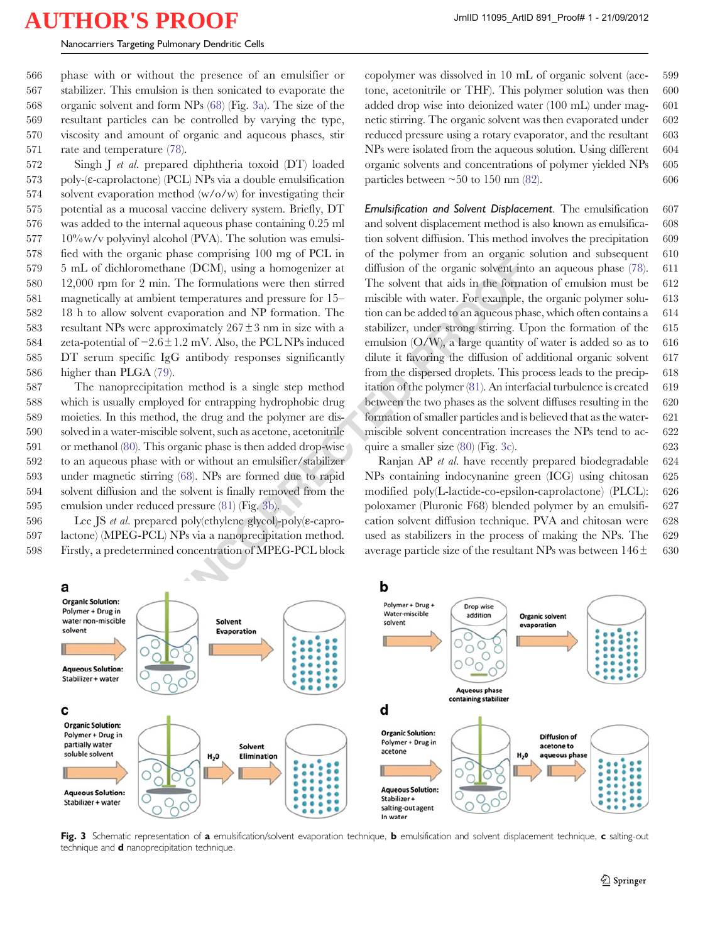<span id="page-13-0"></span> phase with or without the presence of an emulsifier or stabilizer. This emulsion is then sonicated to evaporate the organic solvent and form NPs [\(68](#page-19-0)) (Fig. 3a). The size of the resultant particles can be controlled by varying the type, viscosity and amount of organic and aqueous phases, stir rate and temperature [\(78](#page-19-0)).

 Singh J et al. prepared diphtheria toxoid (DT) loaded poly-(ε-caprolactone) (PCL) NPs via a double emulsification solvent evaporation method (w/o/w) for investigating their potential as a mucosal vaccine delivery system. Briefly, DT was added to the internal aqueous phase containing 0.25 ml 10%w/v polyvinyl alcohol (PVA). The solution was emulsi- fied with the organic phase comprising 100 mg of PCL in 5 mL of dichloromethane (DCM), using a homogenizer at 12,000 rpm for 2 min. The formulations were then stirred magnetically at ambient temperatures and pressure for 15– 18 h to allow solvent evaporation and NP formation. The 583 resultant NPs were approximately  $267 \pm 3$  nm in size with a zeta-potential of −2.6±1.2 mV. Also, the PCL NPs induced DT serum specific IgG antibody responses significantly higher than PLGA ([79\)](#page-19-0).

 The nanoprecipitation method is a single step method which is usually employed for entrapping hydrophobic drug moieties. In this method, the drug and the polymer are dis- solved in a water-miscible solvent, such as acetone, acetonitrile or methanol ([80](#page-20-0)). This organic phase is then added drop-wise to an aqueous phase with or without an emulsifier/stabilizer under magnetic stirring (68). NPs are formed due to rapid solvent diffusion and the solvent is finally removed from the emulsion under reduced pressure (81) (Fig. 3b).

596 Lee JS et al. prepared poly(ethylene glycol)-poly(ε-capro-597 lactone) (MPEG-PCL) NPs via a nanoprecipitation method. 598 Firstly, a predetermined concentration of MPEG-PCL block

copolymer was dissolved in 10 mL of organic solvent (ace- 599 tone, acetonitrile or THF). This polymer solution was then 600 added drop wise into deionized water (100 mL) under mag- 601 netic stirring. The organic solvent was then evaporated under 602 reduced pressure using a rotary evaporator, and the resultant 603 NPs were isolated from the aqueous solution. Using different 604 organic solvents and concentrations of polymer yielded NPs 605 particles between  $\sim 50$  to 150 nm ([82\)](#page-20-0). 606

mane (DCM), using a homogenizer at diffusion of the organic solvent in the same<br>
temperatures and pressure for 15-<br>
The formulations were then stirred The solvent that aids in the format<br>
temperatures and pressure for 15-Emulsification and Solvent Displacement. The emulsification 607 and solvent displacement method is also known as emulsifica- 608 tion solvent diffusion. This method involves the precipitation 609 of the polymer from an organic solution and subsequent 610 diffusion of the organic solvent into an aqueous phase ([78](#page-19-0)). 611 The solvent that aids in the formation of emulsion must be 612 miscible with water. For example, the organic polymer solu- 613 tion can be added to an aqueous phase, which often contains a 614 stabilizer, under strong stirring. Upon the formation of the 615 emulsion  $(O/W)$ , a large quantity of water is added so as to 616 dilute it favoring the diffusion of additional organic solvent 617 from the dispersed droplets. This process leads to the precip- 618 itation of the polymer  $(81)$  $(81)$ . An interfacial turbulence is created 619 between the two phases as the solvent diffuses resulting in the 620 formation of smaller particles and is believed that as the water- 621 miscible solvent concentration increases the NPs tend to ac- 622 quire a smaller size  $(80)$  (Fig. 3c). 623

Ranjan AP et al. have recently prepared biodegradable 624 NPs containing indocynanine green (ICG) using chitosan 625 modified poly(L-lactide-co-epsilon-caprolactone) (PLCL): 626 poloxamer (Pluronic F68) blended polymer by an emulsifi- 627 cation solvent diffusion technique. PVA and chitosan were 628 used as stabilizers in the process of making the NPs. The 629 average particle size of the resultant NPs was between  $146\pm$  630



Fig. 3 Schematic representation of a emulsification/solvent evaporation technique, b emulsification and solvent displacement technique, c salting-out technique and **d** nanoprecipitation technique.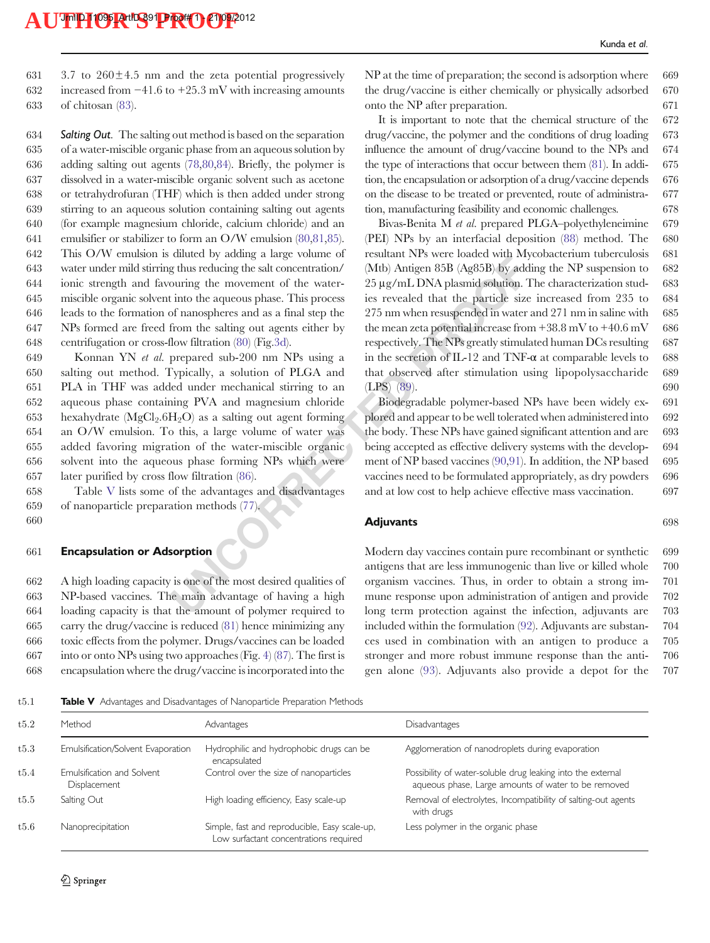631  $3.7$  to  $260 \pm 4.5$  nm and the zeta potential progressively 632 increased from −41.6 to +25.3 mV with increasing amounts 633 of chitosan ([83\)](#page-20-0).

634 Salting Out. The salting out method is based on the separation of a water-miscible organic phase from an aqueous solution by adding salting out agents [\(78](#page-19-0),[80](#page-20-0),[84](#page-20-0)). Briefly, the polymer is dissolved in a water-miscible organic solvent such as acetone or tetrahydrofuran (THF) which is then added under strong stirring to an aqueous solution containing salting out agents (for example magnesium chloride, calcium chloride) and an emulsifier or stabilizer to form an O/W emulsion [\(80,81](#page-20-0),[85](#page-20-0)). This O/W emulsion is diluted by adding a large volume of water under mild stirring thus reducing the salt concentration/ ionic strength and favouring the movement of the water- miscible organic solvent into the aqueous phase. This process leads to the formation of nanospheres and as a final step the NPs formed are freed from the salting out agents either by centrifugation or cross-flow filtration [\(80](#page-20-0)) (Fig[.3d\)](#page-13-0).

 Konnan YN et al. prepared sub-200 nm NPs using a salting out method. Typically, a solution of PLGA and PLA in THF was added under mechanical stirring to an aqueous phase containing PVA and magnesium chloride 653 hexahydrate  $(MgCl<sub>2</sub>.6H<sub>2</sub>O)$  as a salting out agent forming an O/W emulsion. To this, a large volume of water was added favoring migration of the water-miscible organic solvent into the aqueous phase forming NPs which were later purified by cross flow filtration (86).

658 Table V lists some of the advantages and disadvantages 659 of nanoparticle preparation methods (77). 660

661 Encapsulation or Adsorption

 A high loading capacity is one of the most desired qualities of NP-based vaccines. The main advantage of having a high loading capacity is that the amount of polymer required to carry the drug/vaccine is reduced [\(81\)](#page-20-0) hence minimizing any toxic effects from the polymer. Drugs/vaccines can be loaded into or onto NPs using two approaches (Fig. [4\)](#page-15-0) [\(87\)](#page-20-0). The first is encapsulation where the drug/vaccine is incorporated into the  $NP$  at the time of preparation; the second is adsorption where 669 the drug/vaccine is either chemically or physically adsorbed 670 onto the NP after preparation. 671

It is important to note that the chemical structure of the 672 drug/vaccine, the polymer and the conditions of drug loading 673 influence the amount of drug/vaccine bound to the NPs and 674 the type of interactions that occur between them ([81](#page-20-0)). In addi- 675 tion, the encapsulation or adsorption of a drug/vaccine depends 676 on the disease to be treated or prevented, route of administra- 677 tion, manufacturing feasibility and economic challenges. 678

Contained by outans and at all stream that we have been taken with the same of the more than the aqueous phase. This process the reduction of the particle size  $25 \mu g/mL$  [D](#page-20-0)NA plasmid solution. I<br>into the aqueous phase. This Bivas-Benita M et al. prepared PLGA–polyethyleneimine 679 (PEI) NPs by an interfacial deposition ([88](#page-20-0)) method. The 680 resultant NPs were loaded with Mycobacterium tuberculosis 681 (Mtb) Antigen 85B (Ag85B) by adding the NP suspension to 682 25 μg/mL DNA plasmid solution. The characterization stud- 683 ies revealed that the particle size increased from 235 to 684 275 nm when resuspended in water and 271 nm in saline with 685 the mean zeta potential increase from  $+38.8$  mV to  $+40.6$  mV 686 respectively. The NPs greatly stimulated human DCs resulting 687 in the secretion of IL-12 and TNF- $\alpha$  at comparable levels to 688 that observed after stimulation using lipopolysaccharide 689 (LPS) (89). 690

Biodegradable polymer-based NPs have been widely ex- 691 plored and appear to be well tolerated when administered into 692 the body. These NPs have gained significant attention and are 693 being accepted as effective delivery systems with the develop- 694 ment of NP based vaccines [\(90,91\)](#page-20-0). In addition, the NP based 695 vaccines need to be formulated appropriately, as dry powders 696 and at low cost to help achieve effective mass vaccination. 697

Adjuvants 698

Modern day vaccines contain pure recombinant or synthetic 699 antigens that are less immunogenic than live or killed whole 700 organism vaccines. Thus, in order to obtain a strong im- 701 mune response upon administration of antigen and provide 702 long term protection against the infection, adjuvants are 703 included within the formulation ([92\)](#page-20-0). Adjuvants are substan- 704 ces used in combination with an antigen to produce a 705 stronger and more robust immune response than the anti- 706 gen alone ([93](#page-20-0)). Adjuvants also provide a depot for the 707

t5.1 Table V Advantages and Disadvantages of Nanoparticle Preparation Methods

| Method                                     | Advantages                                                                              | <b>Disadvantages</b>                                                                                               |
|--------------------------------------------|-----------------------------------------------------------------------------------------|--------------------------------------------------------------------------------------------------------------------|
| Emulsification/Solvent Evaporation         | Hydrophilic and hydrophobic drugs can be<br>encapsulated                                | Agglomeration of nanodroplets during evaporation                                                                   |
| Emulsification and Solvent<br>Displacement | Control over the size of nanoparticles                                                  | Possibility of water-soluble drug leaking into the external<br>aqueous phase, Large amounts of water to be removed |
| Salting Out                                | High loading efficiency, Easy scale-up                                                  | Removal of electrolytes, Incompatibility of salting-out agents<br>with drugs                                       |
| Nanoprecipitation                          | Simple, fast and reproducible, Easy scale-up,<br>Low surfactant concentrations required | Less polymer in the organic phase                                                                                  |
|                                            |                                                                                         |                                                                                                                    |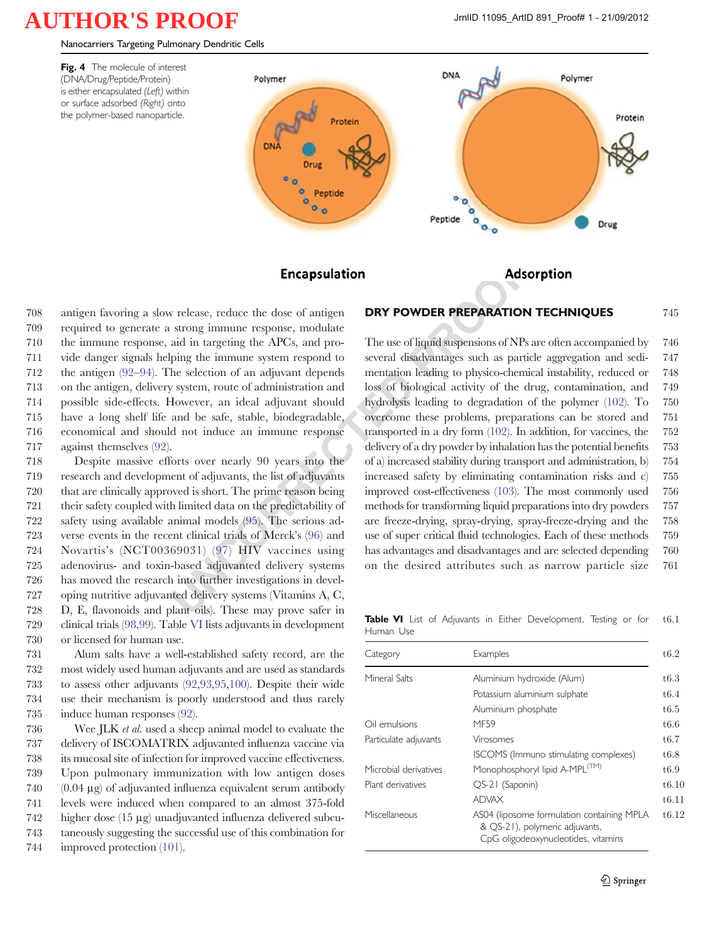<span id="page-15-0"></span>Nanocarriers Targeting Pulmonary Dendritic Cells





### DRY POWDER PREPARATION TECHNIQUES 745

 antigen favoring a slow release, reduce the dose of antigen required to generate a strong immune response, modulate the immune response, aid in targeting the APCs, and pro- vide danger signals helping the immune system respond to the antigen [\(92](#page-20-0)–[94](#page-20-0)). The selection of an adjuvant depends on the antigen, delivery system, route of administration and possible side-effects. However, an ideal adjuvant should have a long shelf life and be safe, stable, biodegradable, economical and should not induce an immune response against themselves ([92\)](#page-20-0).

 Despite massive efforts over nearly 90 years into the research and development of adjuvants, the list of adjuvants that are clinically approved is short. The prime reason being their safety coupled with limited data on the predictability of safety using available animal models (95). The serious ad- verse events in the recent clinical trials of Merck's (96) and Novartis's (NCT00369031) (97) HIV vaccines using adenovirus- and toxin-based adjuvanted delivery systems has moved the research into further investigations in devel- oping nutritive adjuvanted delivery systems (Vitamins A, C, D, E, flavonoids and plant oils). These may prove safer in clinical trials [\(98](#page-20-0),[99](#page-20-0)). Table VI lists adjuvants in development or licensed for human use.

 Alum salts have a well-established safety record, are the most widely used human adjuvants and are used as standards to assess other adjuvants ([92](#page-20-0),[93,95,100\)](#page-20-0). Despite their wide use their mechanism is poorly understood and thus rarely induce human responses ([92](#page-20-0)).

736 Wee JLK *et al.* used a sheep animal model to evaluate the delivery of ISCOMATRIX adjuvanted influenza vaccine via its mucosal site of infection for improved vaccine effectiveness. Upon pulmonary immunization with low antigen doses (0.04 μg) of adjuvanted influenza equivalent serum antibody levels were induced when compared to an almost 375-fold higher dose (15 μg) unadjuvanted influenza delivered subcu- taneously suggesting the successful use of this combination for 744 improved protection [\(101\)](#page-20-0).

**Encapsulation**<br> **Encapsulation**<br> **Encapsulation**<br>
strong immune response, modulate<br>
aid in targeting the APCs, and pro-<br>
The use of liquid suspensions of NPs<br>
ping the immune system respond to<br>
several disadvantages such The use of liquid suspensions of NPs are often accompanied by 746 several disadvantages such as particle aggregation and sedi- 747 mentation leading to physico-chemical instability, reduced or 748 loss of biological activity of the drug, contamination, and 749 hydrolysis leading to degradation of the polymer [\(102\)](#page-20-0). To 750 overcome these problems, preparations can be stored and 751 transported in a dry form [\(102](#page-20-0)). In addition, for vaccines, the 752 delivery of a dry powder by inhalation has the potential benefits 753 of a) increased stability during transport and administration, b) 754 increased safety by eliminating contamination risks and c) 755 improved cost-effectiveness [\(103](#page-20-0)). The most commonly used 756 methods for transforming liquid preparations into dry powders 757 are freeze-drying, spray-drying, spray-freeze-drying and the 758 use of super critical fluid technologies. Each of these methods 759 has advantages and disadvantages and are selected depending 760 on the desired attributes such as narrow particle size 761

Table VI List of Adjuvants in Either Development, Testing or for t6.1 Human Use

| Category              | Examples                                                                                                            | t6.2  |
|-----------------------|---------------------------------------------------------------------------------------------------------------------|-------|
| Mineral Salts         | Aluminium hydroxide (Alum)                                                                                          | t6.3  |
|                       | Potassium aluminium sulphate                                                                                        | t6.4  |
|                       | Aluminium phosphate                                                                                                 | t6.5  |
| Oil emulsions         | MF59                                                                                                                | t6.6  |
| Particulate adjuvants | Virosomes                                                                                                           | t6.7  |
|                       | ISCOMS (Immuno stimulating complexes)                                                                               | t6.8  |
| Microbial derivatives | Monophosphoryl lipid A-MPL <sup>(TM)</sup>                                                                          | t6.9  |
| Plant derivatives     | QS-21 (Saponin)                                                                                                     | t6.10 |
|                       | <b>ADVAX</b>                                                                                                        | t6.11 |
| Miscellaneous         | AS04 (liposome formulation containing MPLA<br>& QS-21), polymeric adjuvants,<br>CpG oligodeoxynucleotides, vitamins | t6.12 |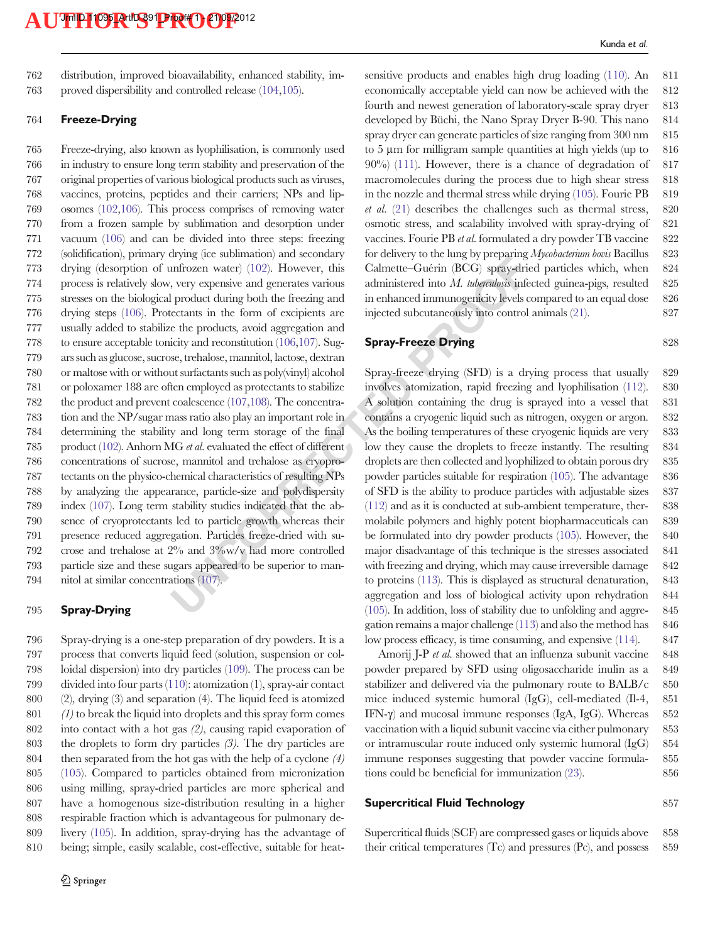762 distribution, improved bioavailability, enhanced stability, im-763 proved dispersibility and controlled release ([104,105\)](#page-20-0).

#### 764 Freeze-Drying

Let associately and section of extended via the section of the formulation (102). However, this Calmette-Guérin (BCG) spray-strip, every expensive and generates various administered into *M. tuberallosis* infer product du Freeze-drying, also known as lyophilisation, is commonly used in industry to ensure long term stability and preservation of the original properties of various biological products such as viruses, vaccines, proteins, peptides and their carriers; NPs and lip- osomes [\(102,106](#page-20-0)). This process comprises of removing water from a frozen sample by sublimation and desorption under vacuum [\(106](#page-20-0)) and can be divided into three steps: freezing (solidification), primary drying (ice sublimation) and secondary drying (desorption of unfrozen water) ([102](#page-20-0)). However, this process is relatively slow, very expensive and generates various stresses on the biological product during both the freezing and drying steps [\(106](#page-20-0)). Protectants in the form of excipients are usually added to stabilize the products, avoid aggregation and to ensure acceptable tonicity and reconstitution ([106,107\)](#page-20-0). Sug- ars such as glucose, sucrose, trehalose, mannitol, lactose, dextran or maltose with or without surfactants such as poly(vinyl) alcohol or poloxamer 188 are often employed as protectants to stabilize the product and prevent coalescence (107,108). The concentra- tion and the NP/sugar mass ratio also play an important role in determining the stability and long term storage of the final 785 product [\(102](#page-20-0)). Anhorn MG et al. evaluated the effect of different concentrations of sucrose, mannitol and trehalose as cryopro- tectants on the physico-chemical characteristics of resulting NPs by analyzing the appearance, particle-size and polydispersity index [\(107\)](#page-20-0). Long term stability studies indicated that the ab- sence of cryoprotectants led to particle growth whereas their presence reduced aggregation. Particles freeze-dried with su- crose and trehalose at 2% and 3%w/v had more controlled particle size and these sugars appeared to be superior to man-nitol at similar concentrations (107).

### 795 Spray-Drying

 Spray-drying is a one-step preparation of dry powders. It is a process that converts liquid feed (solution, suspension or col- loidal dispersion) into dry particles ([109\)](#page-20-0). The process can be divided into four parts ([110](#page-20-0)): atomization (1), spray-air contact (2), drying (3) and separation (4). The liquid feed is atomized (1) to break the liquid into droplets and this spray form comes into contact with a hot gas (2), causing rapid evaporation of the droplets to form dry particles (3). The dry particles are then separated from the hot gas with the help of a cyclone (4) [\(105](#page-20-0)). Compared to particles obtained from micronization using milling, spray-dried particles are more spherical and have a homogenous size-distribution resulting in a higher respirable fraction which is advantageous for pulmonary de- livery [\(105](#page-20-0)). In addition, spray-drying has the advantage of being; simple, easily scalable, cost-effective, suitable for heatsensitive products and enables high drug loading [\(110\)](#page-20-0). An 811 economically acceptable yield can now be achieved with the 812 fourth and newest generation of laboratory-scale spray dryer 813 developed by Büchi, the Nano Spray Dryer B-90. This nano 814 spray dryer can generate particles of size ranging from  $300 \text{ nm}$  815 to 5 μm for milligram sample quantities at high yields (up to 816 90%) [\(111](#page-20-0)). However, there is a chance of degradation of 817 macromolecules during the process due to high shear stress 818 in the nozzle and thermal stress while drying  $(105)$ . Fourie PB 819 et al.  $(21)$  $(21)$  describes the challenges such as thermal stress, 820 osmotic stress, and scalability involved with spray-drying of 821 vaccines. Fourie PB et al. formulated a dry powder TB vaccine 822 for delivery to the lung by preparing  $Mycobacterium bovis$  Bacillus 823 Calmette–Guérin (BCG) spray-dried particles which, when 824 administered into M. tuberculosis infected guinea-pigs, resulted 825 in enhanced immunogenicity levels compared to an equal dose 826 injected subcutaneously into control animals ([21](#page-18-0)). 827

#### Spray-Freeze Drying 828

Spray-freeze drying (SFD) is a drying process that usually 829 involves atomization, rapid freezing and lyophilisation [\(112\)](#page-20-0). 830 A solution containing the drug is sprayed into a vessel that 831 contains a cryogenic liquid such as nitrogen, oxygen or argon. 832 As the boiling temperatures of these cryogenic liquids are very 833 low they cause the droplets to freeze instantly. The resulting 834 droplets are then collected and lyophilized to obtain porous dry 835 powder particles suitable for respiration [\(105](#page-20-0)). The advantage 836 of SFD is the ability to produce particles with adjustable sizes 837 (112) and as it is conducted at sub-ambient temperature, ther- 838 molabile polymers and highly potent biopharmaceuticals can 839 be formulated into dry powder products [\(105\)](#page-20-0). However, the 840 major disadvantage of this technique is the stresses associated 841 with freezing and drying, which may cause irreversible damage 842 to proteins ([113](#page-20-0)). This is displayed as structural denaturation, 843 aggregation and loss of biological activity upon rehydration 844 (105). In addition, loss of stability due to unfolding and aggre- 845 gation remains a major challenge [\(113](#page-20-0)) and also the method has 846 low process efficacy, is time consuming, and expensive  $(114)$ . 847

Amorij J-P et al. showed that an influenza subunit vaccine 848 powder prepared by SFD using oligosaccharide inulin as a 849 stabilizer and delivered via the pulmonary route to BALB/c 850 mice induced systemic humoral (IgG), cell-mediated (Il-4, 851 IFN-γ) and mucosal immune responses (IgA, IgG). Whereas 852 vaccination with a liquid subunit vaccine via either pulmonary 853 or intramuscular route induced only systemic humoral (IgG) 854 immune responses suggesting that powder vaccine formula- 855 tions could be beneficial for immunization [\(23](#page-18-0)). 856

#### Supercritical Fluid Technology 857

Supercritical fluids (SCF) are compressed gases or liquids above 858 their critical temperatures (Tc) and pressures (Pc), and possess 859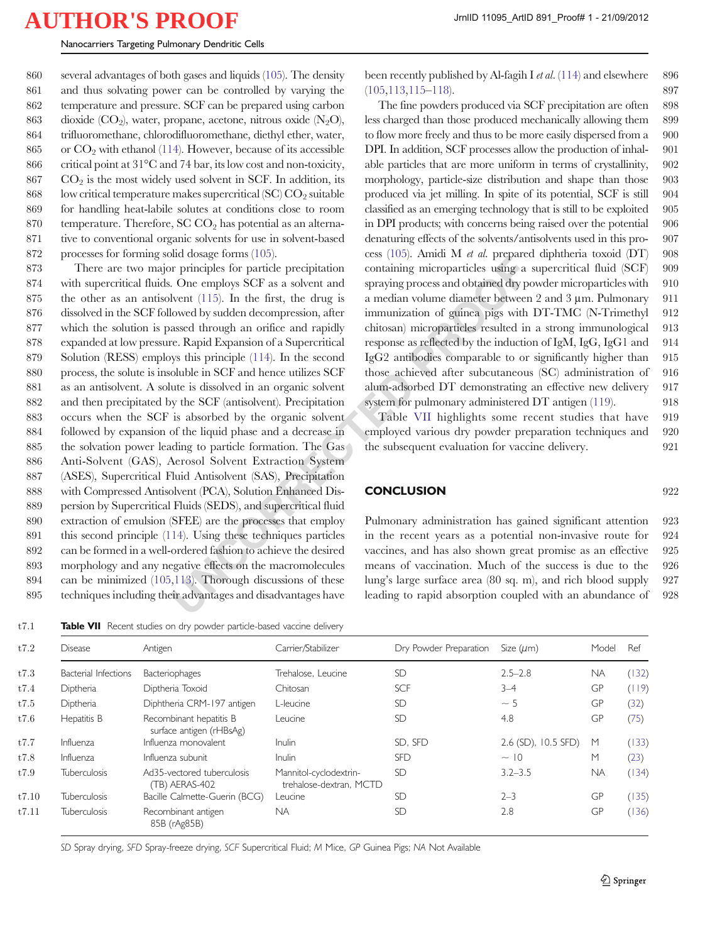several advantages of both gases and liquids [\(105\)](#page-20-0). The density and thus solvating power can be controlled by varying the temperature and pressure. SCF can be prepared using carbon 863 dioxide (CO<sub>2</sub>), water, propane, acetone, nitrous oxide  $(N_2O)$ , trifluoromethane, chlorodifluoromethane, diethyl ether, water, 865 or  $CO<sub>2</sub>$  with ethanol [\(114\)](#page-20-0). However, because of its accessible critical point at 31°C and 74 bar, its low cost and non-toxicity, CO<sub>2</sub> is the most widely used solvent in SCF. In addition, its 868 low critical temperature makes supercritical (SC)  $CO<sub>2</sub>$  suitable for handling heat-labile solutes at conditions close to room 870 temperature. Therefore,  $SC CO<sub>2</sub>$  has potential as an alterna- tive to conventional organic solvents for use in solvent-based processes for forming solid dosage forms [\(105\)](#page-20-0).

and consignering containing microparticles using a reprictles for particle precipitation containing microparticles using a contemply s CF as a solvent and spraying process and obtained dry plyent (115). In the first, the There are two major principles for particle precipitation with supercritical fluids. One employs SCF as a solvent and the other as an antisolvent ([115](#page-20-0)). In the first, the drug is dissolved in the SCF followed by sudden decompression, after which the solution is passed through an orifice and rapidly expanded at low pressure. Rapid Expansion of a Supercritical Solution (RESS) employs this principle ([114\)](#page-20-0). In the second process, the solute is insoluble in SCF and hence utilizes SCF as an antisolvent. A solute is dissolved in an organic solvent and then precipitated by the SCF (antisolvent). Precipitation occurs when the SCF is absorbed by the organic solvent followed by expansion of the liquid phase and a decrease in the solvation power leading to particle formation. The Gas Anti-Solvent (GAS), Aerosol Solvent Extraction System (ASES), Supercritical Fluid Antisolvent (SAS), Precipitation with Compressed Antisolvent (PCA), Solution Enhanced Dis- persion by Supercritical Fluids (SEDS), and supercritical fluid extraction of emulsion (SFEE) are the processes that employ this second principle ([114](#page-20-0)). Using these techniques particles can be formed in a well-ordered fashion to achieve the desired morphology and any negative effects on the macromolecules can be minimized [\(105,](#page-20-0)113). Thorough discussions of these techniques including their advantages and disadvantages have

t7.1 **Table VII** Recent studies on dry powder particle-based vaccine delivery

been recently published by Al-fagih I *et al.* [\(114](#page-20-0)) and elsewhere 896 [\(105](#page-20-0),[113](#page-20-0),[115](#page-20-0)–[118\)](#page-20-0). 897

The fine powders produced via SCF precipitation are often 898 less charged than those produced mechanically allowing them 899 to flow more freely and thus to be more easily dispersed from a 900 DPI. In addition, SCF processes allow the production of inhal- 901 able particles that are more uniform in terms of crystallinity, 902 morphology, particle-size distribution and shape than those 903 produced via jet milling. In spite of its potential, SCF is still 904 classified as an emerging technology that is still to be exploited 905 in DPI products; with concerns being raised over the potential 906 denaturing effects of the solvents/antisolvents used in this pro- 907 cess [\(105](#page-20-0)). Amidi M et al. prepared diphtheria toxoid (DT) 908 containing microparticles using a supercritical fluid (SCF) 909 spraying process and obtained dry powder microparticles with 910 a median volume diameter between 2 and 3 μm. Pulmonary 911 immunization of guinea pigs with DT-TMC (N-Trimethyl 912 chitosan) microparticles resulted in a strong immunological 913 response as reflected by the induction of IgM, IgG, IgG1 and 914 IgG2 antibodies comparable to or significantly higher than 915 those achieved after subcutaneous (SC) administration of 916 alum-adsorbed DT demonstrating an effective new delivery 917 system for pulmonary administered DT antigen [\(119](#page-20-0)). 918

Table VII highlights some recent studies that have 919 employed various dry powder preparation techniques and 920 the subsequent evaluation for vaccine delivery. 921

#### CONCLUSION 922

Pulmonary administration has gained significant attention 923 in the recent years as a potential non-invasive route for 924 vaccines, and has also shown great promise as an effective 925 means of vaccination. Much of the success is due to the 926 lung's large surface area (80 sq. m), and rich blood supply 927 leading to rapid absorption coupled with an abundance of 928

| t7.2  | <b>Disease</b>              | Antigen                                             | Carrier/Stabilizer                                | Dry Powder Preparation | Size $(\mu m)$      | Model     | Ref   |
|-------|-----------------------------|-----------------------------------------------------|---------------------------------------------------|------------------------|---------------------|-----------|-------|
| t7.3  | <b>Bacterial Infections</b> | <b>Bacteriophages</b>                               | Trehalose, Leucine                                | <b>SD</b>              | $2.5 - 2.8$         | <b>NA</b> | (132) |
| t7.4  | Diptheria                   | Diptheria Toxoid                                    | Chitosan                                          | <b>SCF</b>             | $3 - 4$             | GP        | (119) |
| t7.5  | Diptheria                   | Diphtheria CRM-197 antigen                          | L-leucine                                         | <b>SD</b>              | $~\sim$ 5           | GP        | (32)  |
| t7.6  | Hepatitis B                 | Recombinant hepatitis B<br>surface antigen (rHBsAg) | Leucine                                           | <b>SD</b>              | 4.8                 | GP        | (75)  |
| t7.7  | Influenza                   | Influenza monovalent                                | <b>Inulin</b>                                     | SD, SFD                | 2.6 (SD), 10.5 SFD) | M         | (133) |
| t7.8  | Influenza                   | Influenza subunit                                   | <b>Inulin</b>                                     | <b>SFD</b>             | $\sim$ 10           | M         | (23)  |
| t7.9  | <b>Tuberculosis</b>         | Ad35-vectored tuberculosis<br>(TB) AERAS-402        | Mannitol-cyclodextrin-<br>trehalose-dextran, MCTD | <b>SD</b>              | $3.2 - 3.5$         | <b>NA</b> | (134) |
| t7.10 | <b>Tuberculosis</b>         | Bacille Calmette-Guerin (BCG)                       | Leucine                                           | <b>SD</b>              | $2 - 3$             | GP        | (135) |
| t7.11 | <b>Tuberculosis</b>         | Recombinant antigen<br>85B (rAg85B)                 | <b>NA</b>                                         | <b>SD</b>              | 2.8                 | GP        | (136) |

SD Spray drying, SFD Spray-freeze drying, SCF Supercritical Fluid; M Mice, GP Guinea Pigs; NA Not Available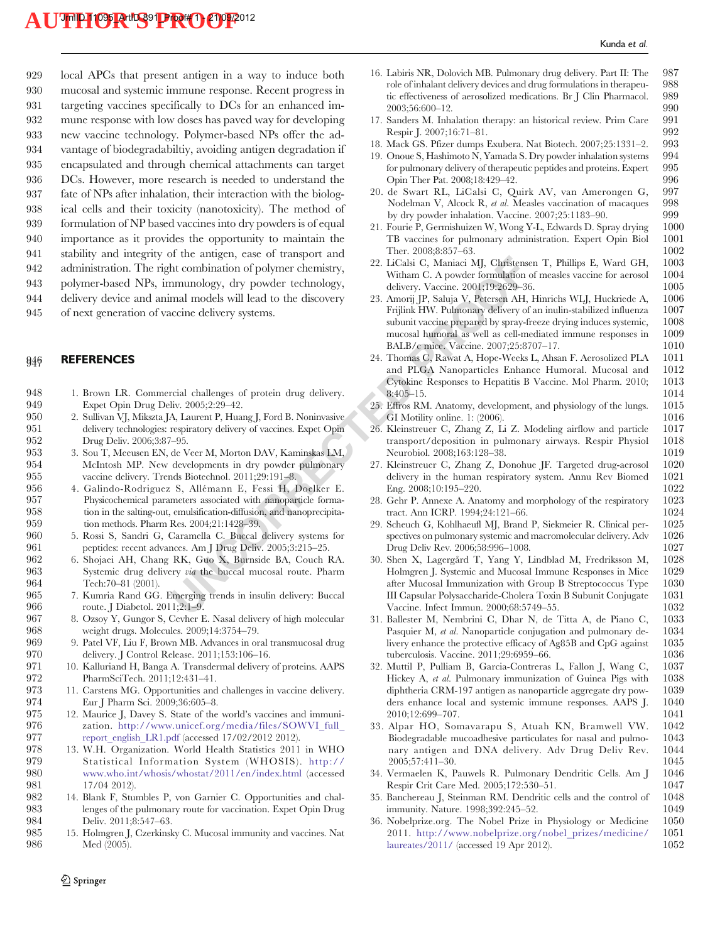<span id="page-18-0"></span> local APCs that present antigen in a way to induce both mucosal and systemic immune response. Recent progress in targeting vaccines specifically to DCs for an enhanced im- mune response with low doses has paved way for developing new vaccine technology. Polymer-based NPs offer the ad- vantage of biodegradabiltiy, avoiding antigen degradation if encapsulated and through chemical attachments can target DCs. However, more research is needed to understand the fate of NPs after inhalation, their interaction with the biolog- ical cells and their toxicity (nanotoxicity). The method of formulation of NP based vaccines into dry powders is of equal importance as it provides the opportunity to maintain the stability and integrity of the antigen, ease of transport and administration. The right combination of polymer chemistry, polymer-based NPs, immunology, dry powder technology, delivery device and animal models will lead to the discovery

### 945 of next generation of vaccine delivery systems.

#### **946 REFERENCES**

| ັບ 11<br>942<br>943<br>944<br>945 | submy and meghty of the antigen, case of transport and<br>administration. The right combination of polymer chemistry,<br>polymer-based NPs, immunology, dry powder technology,<br>delivery device and animal models will lead to the discovery<br>of next generation of vaccine delivery systems. | 22. LiCalsi C, Maniaci MJ, Christense<br>Witham C. A powder formulation<br>delivery. Vaccine. 2001;19:2629-36<br>23. Amorij JP, Saluja V, Petersen AH,<br>Frijlink HW. Pulmonary delivery of<br>subunit vaccine prepared by spray-fi<br>mucosal humoral as well as cell-mo<br>BALB/c mice. Vaccine. 2007;25:87 |
|-----------------------------------|---------------------------------------------------------------------------------------------------------------------------------------------------------------------------------------------------------------------------------------------------------------------------------------------------|----------------------------------------------------------------------------------------------------------------------------------------------------------------------------------------------------------------------------------------------------------------------------------------------------------------|
| 946                               | <b>REFERENCES</b>                                                                                                                                                                                                                                                                                 | 24. Thomas C, Rawat A, Hope-Weeks<br>and PLGA Nanoparticles Enhan<br>Cytokine Responses to Hepatitis B                                                                                                                                                                                                         |
| 948                               | 1. Brown LR. Commercial challenges of protein drug delivery.                                                                                                                                                                                                                                      | $8:405-15.$                                                                                                                                                                                                                                                                                                    |
| 949                               | Expet Opin Drug Deliv. 2005;2:29-42.                                                                                                                                                                                                                                                              | 25. Effros RM. Anatomy, development                                                                                                                                                                                                                                                                            |
| 950                               | 2. Sullivan VJ, Mikszta JA, Laurent P, Huang J, Ford B. Noninvasive                                                                                                                                                                                                                               | GI Motility online. 1: (2006).                                                                                                                                                                                                                                                                                 |
| 951<br>952                        | delivery technologies: respiratory delivery of vaccines. Expet Opin<br>Drug Deliv. 2006;3:87-95.                                                                                                                                                                                                  | 26. Kleinstreuer C, Zhang Z, Li Z. M<br>transport/deposition in pulmona                                                                                                                                                                                                                                        |
| 953                               | 3. Sou T, Meeusen EN, de Veer M, Morton DAV, Kaminskas LM,                                                                                                                                                                                                                                        | Neurobiol. 2008;163:128-38.                                                                                                                                                                                                                                                                                    |
| 954<br>955                        | McIntosh MP. New developments in dry powder pulmonary<br>vaccine delivery. Trends Biotechnol. 2011;29:191-8.                                                                                                                                                                                      | 27. Kleinstreuer C, Zhang Z, Donohu<br>delivery in the human respiratory                                                                                                                                                                                                                                       |
| 956                               | 4. Galindo-Rodriguez S, Allémann E, Fessi H, Doelker E.                                                                                                                                                                                                                                           | Eng. 2008;10:195-220.                                                                                                                                                                                                                                                                                          |
| 957                               | Physicochemical parameters associated with nanoparticle forma-                                                                                                                                                                                                                                    | 28. Gehr P. Annexe A. Anatomy and r                                                                                                                                                                                                                                                                            |
| 958                               | tion in the salting-out, emulsification-diffusion, and nanoprecipita-                                                                                                                                                                                                                             | tract. Ann ICRP. 1994;24:121-66.                                                                                                                                                                                                                                                                               |
| 959                               | tion methods. Pharm Res. 2004;21:1428-39.                                                                                                                                                                                                                                                         | 29. Scheuch G, Kohlhaeufl MJ, Brand                                                                                                                                                                                                                                                                            |
| 960                               | 5. Rossi S, Sandri G, Caramella C. Buccal delivery systems for                                                                                                                                                                                                                                    | spectives on pulmonary systemic and                                                                                                                                                                                                                                                                            |
| 961                               | peptides: recent advances. Am J Drug Deliv. 2005;3:215-25.                                                                                                                                                                                                                                        | Drug Deliv Rev. 2006;58:996-1008.                                                                                                                                                                                                                                                                              |
| 962                               | 6. Shojaei AH, Chang RK, Guo X, Burnside BA, Couch RA.                                                                                                                                                                                                                                            | 30. Shen X, Lagergård T, Yang Y, I                                                                                                                                                                                                                                                                             |
| 963                               | Systemic drug delivery <i>via</i> the buccal mucosal route. Pharm                                                                                                                                                                                                                                 | Holmgren J. Systemic and Mucosa                                                                                                                                                                                                                                                                                |
| 964                               | Tech: 70-81 (2001).                                                                                                                                                                                                                                                                               | after Mucosal Immunization with 0                                                                                                                                                                                                                                                                              |
| 965<br>966                        | 7. Kumria Rand GG. Emerging trends in insulin delivery: Buccal<br>route. J Diabetol. 2011;2:1-9.                                                                                                                                                                                                  | III Capsular Polysaccharide-Choler<br>Vaccine. Infect Immun. 2000;68:57                                                                                                                                                                                                                                        |
| 0a                                |                                                                                                                                                                                                                                                                                                   |                                                                                                                                                                                                                                                                                                                |

- 965 7. Kumria Rand GG. Emerging trends in insulin delivery: Buccal 966 route. J Diabetol. 2011;2:1–9.<br>967 8. Ozsov Y, Gungor S, Cevher B
- 8. Ozsoy Y, Gungor S, Cevher E. Nasal delivery of high molecular 968 weight drugs. Molecules. 2009;14:3754–79.
- 969 9. Patel VF, Liu F, Brown MB. Advances in oral transmucosal drug 970 delivery. J Control Release. 2011;153:106–16.<br>971 10. Kalluriand H, Banga A. Transdermal delivery
- 971 10. Kalluriand H, Banga A. Transdermal delivery of proteins. AAPS 972 PharmSciTech. 2011;12:431–41.
- 973 11. Carstens MG. Opportunities and challenges in vaccine delivery.<br>974 Eur J Pharm Sci. 2009:36:605–8. 974 Eur J Pharm Sci. 2009;36:605–8.<br>975 12. Maurice J, Davey S. State of the
- 12. Maurice J, Davey S. State of the world's vaccines and immuni-976 zation. [http://www.unicef.org/media/files/SOWVI\\_full\\_](http://www.unicef.org/media/files/SOWVI_full_report_english_LR1.pdf) 977 [report\\_english\\_LR1.pdf](http://www.unicef.org/media/files/SOWVI_full_report_english_LR1.pdf) (accessed 17/02/2012 2012).<br>978 13. W.H. Organization. World Health Statistics 2011
- 978 13. W.H. Organization. World Health Statistics 2011 in WHO<br>979 5tatistical Information System (WHOSIS). http:// Statistical Information System (WHOSIS). [http://](http://www.who.int/whosis/whostat/2011/en/index.html) 980 [www.who.int/whosis/whostat/2011/en/index.html](http://www.who.int/whosis/whostat/2011/en/index.html) (accessed<br>981 17/04 2012). 981 17/04 2012).
- 982 14. Blank F, Stumbles P, von Garnier C. Opportunities and chal-983 lenges of the pulmonary route for vaccination. Expet Opin Drug 984 Deliv. 2011;8:547–63.<br>985 15. Holmgren J, Czerkinsl
- 15. Holmgren J, Czerkinsky C. Mucosal immunity and vaccines. Nat 986 Med (2005).
- 16. Labiris NR, Dolovich MB. Pulmonary drug delivery. Part II: The 987 role of inhalant delivery devices and drug formulations in therapeu- 988 tic effectiveness of aerosolized medications. Br J Clin Pharmacol. 989 2003;56:600–12. 990
- 17. Sanders M. Inhalation therapy: an historical review. Prim Care Respir I. 2007;16:71–81. 992
- 18. Mack GS. Pfizer dumps Exubera. Nat Biotech. 2007;25:1331–2. 993 19. Onoue S, Hashimoto N, Yamada S. Dry powder inhalation systems  $994$  for pulmonary delivery of the rapeutic peptides and proteins. Expert  $995$ for pulmonary delivery of therapeutic peptides and proteins. Expert Opin Ther Pat. 2008;18:429–42. 996
- 20. de Swart RL, LiCalsi C, Quirk AV, van Amerongen G, 997 Nodelman V, Alcock R, et al. Measles vaccination of macaques 998 by dry powder inhalation. Vaccine. 2007;25:1183–90. 999
- 21. Fourie P, Germishuizen W, Wong Y-L, Edwards D. Spray drying 1000 TB vaccines for pulmonary administration. Expert Opin Biol Ther. 2008;8:857–63. 1002
- 22. LiCalsi C, Maniaci MJ, Christensen T, Phillips E, Ward GH, 1003 Witham C. A powder formulation of measles vaccine for aerosol 1004<br>delivery. Vaccine. 2001:19:2629-36. 1005 delivery. Vaccine. 2001;19:2629-36.
- 23. Amorij JP, Saluja V, Petersen AH, Hinrichs WLJ, Huckriede A, 1006 Frijlink HW. Pulmonary delivery of an inulin-stabilized influenza 1007 subunit vaccine prepared by spray-freeze drying induces systemic, 1008 mucosal humoral as well as cell-mediated immune responses in 1009 mucosal humoral as well as cell-mediated immune responses in BALB/c mice. Vaccine. 2007;25:8707-17. 1010
- 24. Thomas C, Rawat A, Hope-Weeks L, Ahsan F. Aerosolized PLA 1011 and PLGA Nanoparticles Enhance Humoral. Mucosal and 1012 Cytokine Responses to Hepatitis B Vaccine. Mol Pharm. 2010; 1013  $8:405-15.$  1014
- 25. Effros RM. Anatomy, development, and physiology of the lungs. 1015 GI Motility online. 1: (2006). 1016
- 26. Kleinstreuer C, Zhang Z, Li Z. Modeling airflow and particle 1017 transport/deposition in pulmonary airways. Respir Physiol 1018 Neurobiol. 2008;163:128–38. 1019
- 27. Kleinstreuer C, Zhang Z, Donohue JF. Targeted drug-aerosol 1020 delivery in the human respiratory system. Annu Rev Biomed 1021<br>Eng. 2008;10:195-220. 1022 Eng.  $2008;10:195-220$ .
- 28. Gehr P. Annexe A. Anatomy and morphology of the respiratory 1023 tract. Ann ICRP. 1994;24:121–66. 1024
- 29. Scheuch G, Kohlhaeufl MJ, Brand P, Siekmeier R. Clinical per- 1025 spectives on pulmonary systemic and macromolecular delivery. Adv 1026 Drug Deliv Rev. 2006;58:996–1008. 1027
- 30. Shen X, Lagergård T, Yang Y, Lindblad M, Fredriksson M, 1028 Holmgren J. Systemic and Mucosal Immune Responses in Mice after Mucosal Immunization with Group B Streptococcus Type 1030 III Capsular Polysaccharide-Cholera Toxin B Subunit Conjugate 1031 Vaccine. Infect Immun. 2000;68:5749–55. 1032
- 31. Ballester M, Nembrini C, Dhar N, de Titta A, de Piano C, 1033 Pasquier M, et al. Nanoparticle conjugation and pulmonary de- 1034 livery enhance the protective efficacy of Ag85B and CpG against 1035<br>tuberculosis. Vaccine. 2011:29:6959-66. 1036 tuberculosis. Vaccine. 2011;29:6959-66.
- 32. Muttil P, Pulliam B, Garcia-Contreras L, Fallon J, Wang C, 1037 Hickey A, *et al.* Pulmonary immunization of Guinea Pigs with 1038 diphtheria CRM-197 antigen as nanoparticle aggregate dry pow- 1039 ders enhance local and systemic immune responses. AAPS J. 1040 ders enhance local and systemic immune responses. AAPS J. 2010;12:699–707. 1041
- 33. Alpar HO, Somavarapu S, Atuah KN, Bramwell VW. 1042 Biodegradable mucoadhesive particulates for nasal and pulmo- 1043 nary antigen and DNA delivery. Adv Drug Deliv Rev. 1044 2005;57:411–30. 1045
- 34. Vermaelen K, Pauwels R. Pulmonary Dendritic Cells. Am J Respir Crit Care Med. 2005;172:530–51. 1047
- 35. Banchereau J, Steinman RM. Dendritic cells and the control of 1048 immunity. Nature. 1998;392:245–52. 1049<br>Nobelprize.org. The Nobel Prize in Physiology or Medicine 1050
- 36. Nobelprize.org. The Nobel Prize in Physiology or Medicine 2011. [http://www.nobelprize.org/nobel\\_prizes/medicine/](http://www.nobelprize.org/nobel_prizes/medicine/laureates/2011/) 1051 [laureates/2011/](http://www.nobelprize.org/nobel_prizes/medicine/laureates/2011/) (accessed 19 Apr 2012). 1052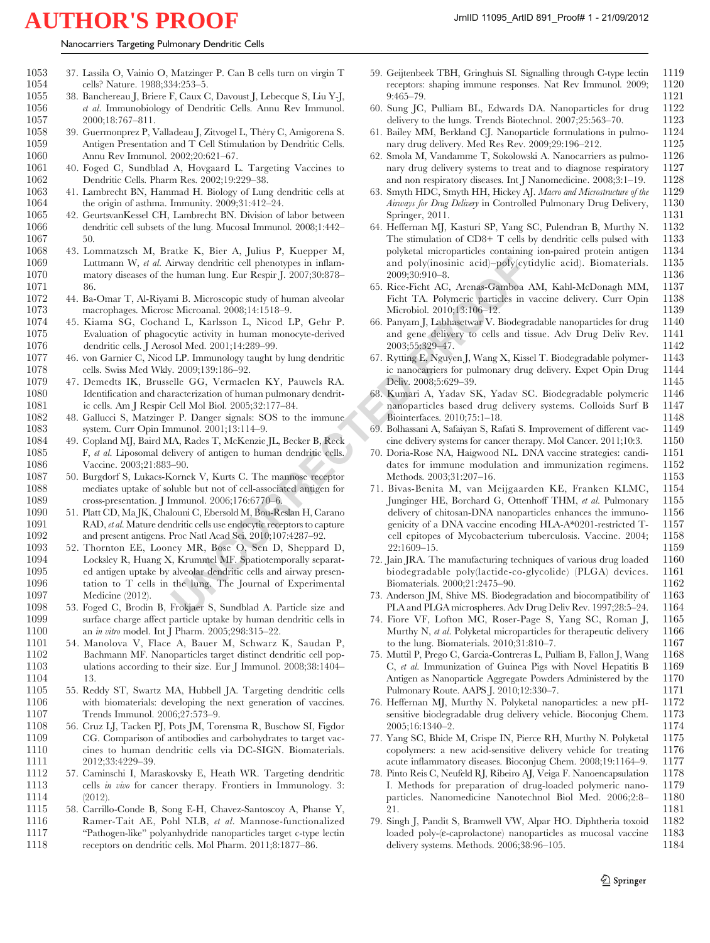| Nanocarriers Targeting Pulmonary Dendritic Cells |  |  |
|--------------------------------------------------|--|--|
|                                                  |  |  |

<span id="page-19-0"></span>

| 1053 | 37. Lassila O, Vainio O, Matzinger P. Can B cells turn on virgin T  |
|------|---------------------------------------------------------------------|
| 1054 | cells? Nature. 1988;334:253–5.                                      |
| 1055 | 38. Banchereau J, Briere F, Caux C, Davoust J, Lebecque S, Liu Y-J, |
|      |                                                                     |

- 1056 *et al.* Immunobiology of Dendritic Cells. Annu Rev Immunol.<br>1057 2000:18:767-811  $2000 \cdot 18 \cdot 767 - 811$
- 1058 39. Guermonprez P, Valladeau J, Zitvogel L, Théry C, Amigorena S. 1059 Antigen Presentation and T Cell Stimulation by Dendritic Cells. 1060 Annu Rev Immunol. 2002;20:621–67.<br>1061 40. Foged C. Sundblad A. Hovgaard I
- 1061 40. Foged C, Sundblad A, Hovgaard L. Targeting Vaccines to 1062 Dendritic Cells. Pharm Res. 2002;19:229–38.
- 1063 41. Lambrecht BN, Hammad H. Biology of Lung dendritic cells at 1064 the origin of asthma. Immunity. 2009;31:412–24.
- 1065 42. GeurtsvanKessel CH, Lambrecht BN. Division of labor between 1066 dendritic cell subsets of the lung. Mucosal Immunol. 2008;1:442– 1067 50.
- 1068 43. Lommatzsch M, Bratke K, Bier A, Julius P, Kuepper M, 1069 Luttmann W, et al. Airway dendritic cell phenotypes in inflam-1070 matory diseases of the human lung. Eur Respir J. 2007;30:878– 1071 86.
- 1072 44. Ba-Omar T, Al-Riyami B. Microscopic study of human alveolar 1073 macrophages. Microsc Microanal. 2008;14:1518–9.
- 1074 45. Kiama SG, Cochand L, Karlsson L, Nicod LP, Gehr P. 1075 Evaluation of phagocytic activity in human monocyte-derived 1076 dendritic cells. J Aerosol Med. 2001;14:289–99.
- 1077 46. von Garnier C, Nicod LP. Immunology taught by lung dendritic cells. Swiss Med Wkly. 2009;139:186-92.
- 1079 47. Demedts IK, Brusselle GG, Vermaelen KY, Pauwels RA. 1080 Identification and characterization of human pulmonary dendrit-<br>1081 ic cells. Am J Respir Cell Mol Biol. 2005:32:177-84. ic cells. Am J Respir Cell Mol Biol. 2005;32:177–84.
- 1082 48. Gallucci S, Matzinger P. Danger signals: SOS to the immune 1083 system. Curr Opin Immunol. 2001;13:114–9.<br>1084 49. Copland MJ, Baird MA, Rades T, McKenzie
- 1084 49. Copland MJ, Baird MA, Rades T, McKenzie JL, Becker B, Reck 1085 F, et al. Liposomal delivery of antigen to human dendritic cells. 1086 Vaccine. 2003;21:883–90.
- 1087 50. Burgdorf S, Lukacs-Kornek V, Kurts C. The mannose receptor 1088 mediates uptake of soluble but not of cell-associated antigen for<br>1089 cross-presentation. J Immunol. 2006;176:6770-6. cross-presentation. J Immunol. 2006;176:6770–6.
- 1090 51. Platt CD, Ma JK, Chalouni C, Ebersold M, Bou-Reslan H, Carano 1091 RAD, *et al.* Mature dendritic cells use endocytic receptors to capture<br>1092 and present antigens. Proc Natl Acad Sci. 2010:107:4287-92. and present antigens. Proc Natl Acad Sci. 2010;107:4287–92.
- 1093 52. Thornton EE, Looney MR, Bose O, Sen D, Sheppard D, 1094 Locksley R, Huang X, Krummel MF. Spatiotemporally separated antigen uptake by alveolar dendritic cells and airway presen-1096 tation to T cells in the lung. The Journal of Experimental 1097 Medicine (2012).
- 1098 53. Foged C, Brodin B, Frokjaer S, Sundblad A. Particle size and surface charge affect particle uptake by human dendritic cells in 1100 an in vitro model. Int J Pharm. 2005;298:315–22.
- 1101 54. Manolova V, Flace A, Bauer M, Schwarz K, Saudan P, Bachmann MF. Nanoparticles target distinct dendritic cell pop-1103 ulations according to their size. Eur J Immunol. 2008;38:1404– 1104 13.
- 1105 55. Reddy ST, Swartz MA, Hubbell JA. Targeting dendritic cells 1106 with biomaterials: developing the next generation of vaccines.<br>1107 Trends Immunol. 2006;27:573-9. Trends Immunol. 2006;27:573-9.
- 1108 56. Cruz LJ, Tacken PJ, Pots JM, Torensma R, Buschow SI, Figdor 1109 CG. Comparison of antibodies and carbohydrates to target vac-1110 cines to human dendritic cells via DC-SIGN. Biomaterials. 1111 2012;33:4229-39.<br>1112 57. Caminschi I, Ma
- 57. Caminschi I, Maraskovsky E, Heath WR. Targeting dendritic 1113 cells in vivo for cancer therapy. Frontiers in Immunology. 3: 1114 (2012).
- 1115 58. Carrillo-Conde B, Song E-H, Chavez-Santoscoy A, Phanse Y, 1116 Ramer-Tait AE, Pohl NLB, *et al.* Mannose-functionalized Ramer-Tait AE, Pohl NLB, et al. Mannose-functionalized 1117 "Pathogen-like" polyanhydride nanoparticles target c-type lectin 1118 receptors on dendritic cells. Mol Pharm. 2011;8:1877–86.
- 59. Geijtenbeek TBH, Gringhuis SI. Signalling through C-type lectin 1119 receptors: shaping immune responses. Nat Rev Immunol. 2009: 1120 receptors: shaping immune responses. Nat Rev Immunol. 2009; 9:465–79. 1121
- 60. Sung JC, Pulliam BL, Edwards DA. Nanoparticles for drug 1122 delivery to the lungs. Trends Biotechnol. 2007;25:563-70. 1123
- 61. Bailey MM, Berkland CJ. Nanoparticle formulations in pulmo- 1124 nary drug delivery. Med Res Rev. 2009;29:196-212. 1125
- 62. Smola M, Vandamme T, Sokolowski A. Nanocarriers as pulmo- 1126 nary drug delivery systems to treat and to diagnose respiratory and non respiratory diseases. Int J Nanomedicine. 2008;3:1–19. 1128
- 63. Smyth HDC, Smyth HH, Hickey AJ. Macro and Microstructure of the 1129 Airways for Drug Delivery in Controlled Pulmonary Drug Delivery, 1130 Springer, 2011. 1131
- 64. Heffernan MJ, Kasturi SP, Yang SC, Pulendran B, Murthy N. 1132 The stimulation of  $CD8+T$  cells by dendritic cells pulsed with polyketal microparticles containing ion-paired protein antigen 1134 and poly(inosinic acid)–poly(cytidylic acid). Biomaterials. 1135 2009;30:910–8. 1136
- 65. Rice-Ficht AC, Arenas-Gamboa AM, Kahl-McDonagh MM, Ficht TA. Polymeric particles in vaccine delivery. Curr Opin 1138 Microbiol. 2010;13:106–12. 1139
- 66. Panyam J, Labhasetwar V. Biodegradable nanoparticles for drug 1140 and gene delivery to cells and tissue. Adv Drug Deliv Rev. 1141 2003;55:329–47. 1142
- 67. Rytting E, Nguyen J, Wang X, Kissel T. Biodegradable polymer- 1143 ic nanocarriers for pulmonary drug delivery. Expet Opin Drug 1144 Deliv. 2008;5:629–39. 1145
- 68. Kumari A, Yadav SK, Yadav SC. Biodegradable polymeric 1146 nanoparticles based drug delivery systems. Colloids Surf B 1147 Biointerfaces. 2010;75:1–18. 1148
- 69. Bolhassani A, Safaiyan S, Rafati S. Improvement of different vac- 1149 cine delivery systems for cancer therapy. Mol Cancer. 2011;10:3. 1150
- 70. Doria-Rose NA, Haigwood NL. DNA vaccine strategies: candi- 1151 dates for immune modulation and immunization regimens. 1152 Methods. 2003;31:207–16. 1153<br>Bivas-Benita M, van Meijgaarden KE, Franken KLMC, 1154
- xivway dendritic cell phenotypes in inflame and poly(inosinic acid)-poly/cyis<br>
e human lung. Eur Respir J. 2007;30:878-<br>
26. Nicco-Ficht AA. Arenas-Gamboa .<br>
16. Nicco-Ficht AA. Arenas-Gamboa .<br>
26. Nicco-Ficht AA. Arenas 71. Bivas-Benita M, van Meijgaarden KE, Franken KLMC. Junginger HE, Borchard G, Ottenhoff THM, et al. Pulmonary 1155 delivery of chitosan-DNA nanoparticles enhances the immuno- 1156 genicity of a DNA vaccine encoding HLA-A\*0201-restricted T- 1157 cell epitopes of Mycobacterium tuberculosis. Vaccine. 2004; 1158 22:1609–15. 1159
	- 72. Jain JRA. The manufacturing techniques of various drug loaded 1160 biodegradable poly(lactide-co-glycolide) (PLGA) devices. 1161 biodegradable poly(lactide-co-glycolide) (PLGA) devices. Biomaterials. 2000;21:2475–90. 1162
	- 73. Anderson JM, Shive MS. Biodegradation and biocompatibility of 1163 PLA and PLGA microspheres. Adv Drug Deliv Rev. 1997;28:5–24. 1164
	- 74. Fiore VF, Lofton MC, Roser-Page S, Yang SC, Roman J, 1165 Murthy N, et al. Polyketal microparticles for therapeutic delivery 1166 to the lung. Biomaterials. 2010;31:810–7.<br>Muttil P. Prego C. Garcia-Contreras L. Pulliam B. Fallon J. Wang 1168
	- 75. Muttil P, Prego C, Garcia-Contreras L, Pulliam B, Fallon J, Wang 1168 C, et al. Immunization of Guinea Pigs with Novel Hepatitis B 1169 Antigen as Nanoparticle Aggregate Powders Administered by the 1170 Pulmonary Route. AAPS J. 2010;12:330–7. 1171<br>Heffernan MJ, Murthy N. Polyketal nanoparticles: a new pH- 1172
	- 76. Heffernan MJ, Murthy N. Polyketal nanoparticles: a new pHsensitive biodegradable drug delivery vehicle. Bioconjug Chem. 1173 2005;16:1340–2. 1174
	- 77. Yang SC, Bhide M, Crispe IN, Pierce RH, Murthy N. Polyketal 1175 copolymers: a new acid-sensitive delivery vehicle for treating 1176 acute inflammatory diseases. Bioconjug Chem. 2008;19:1164–9. 1177
	- 78. Pinto Reis C, Neufeld RJ, Ribeiro AJ, Veiga F. Nanoencapsulation I. Methods for preparation of drug-loaded polymeric nano- 1179 particles. Nanomedicine Nanotechnol Biol Med. 2006;2:8– 1180 21. 1181
	- 79. Singh J, Pandit S, Bramwell VW, Alpar HO. Diphtheria toxoid 1182 loaded poly-(ε-caprolactone) nanoparticles as mucosal vaccine 1183 delivery systems. Methods. 2006;38:96–105. 1184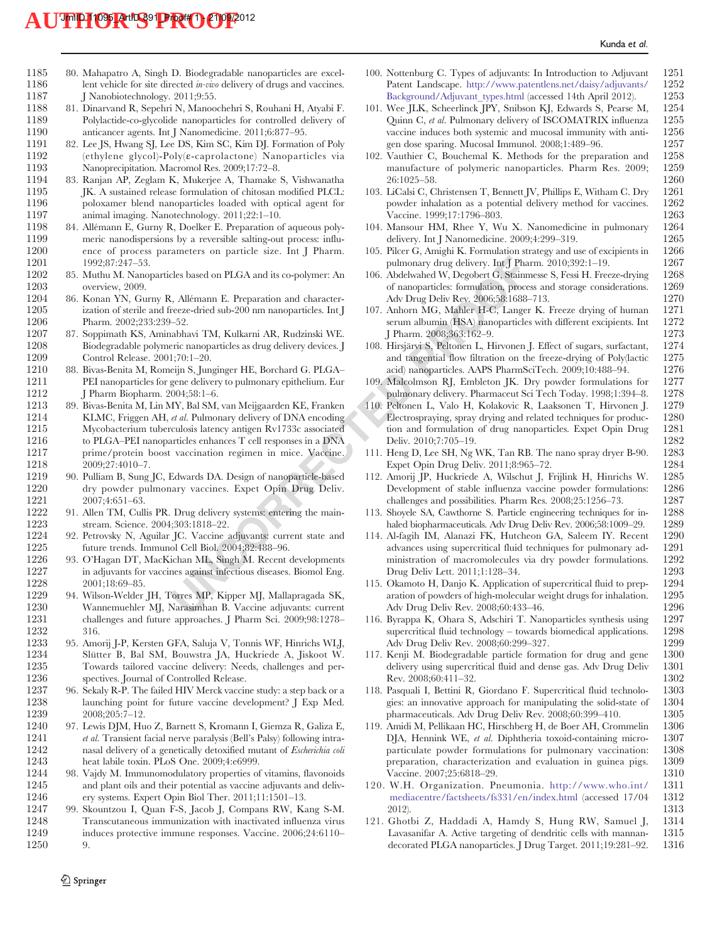- <span id="page-20-0"></span>1185 80. Mahapatro A, Singh D. Biodegradable nanoparticles are excel-<br>1186 lent vehicle for site directed *in-vivo* delivery of drugs and vaccines. lent vehicle for site directed  $in-vivo$  delivery of drugs and vaccines. 1187 J Nanobiotechnology. 2011;9:55.
- 1188 81. Dinarvand R, Sepehri N, Manoochehri S, Rouhani H, Atyabi F. Polylactide-co-glycolide nanoparticles for controlled delivery of 1190 anticancer agents. Int J Nanomedicine. 2011;6:877–95.
- 1191 82. Lee JS, Hwang SJ, Lee DS, Kim SC, Kim DJ. Formation of Poly<br>1192 (ethylene glycol)-Poly( $\varepsilon$ -caprolactone) Nanoparticles via 1192 (ethylene glycol)-Poly(ε-caprolactone) Nanoparticles via Nanoprecipitation. Macromol Res. 2009;17:72-8.
- 1194 83. Ranjan AP, Zeglam K, Mukerjee A, Thamake S, Vishwanatha 1195 **IK.** A sustained release formulation of chitosan modified PLCL: 1196 poloxamer blend nanoparticles loaded with optical agent for 1197 animal imaging. Nanotechnology. 2011;22:1-10.<br>1198 84. Allémann E. Gurny R. Doelker E. Preparation o
- 1198 84. Allémann E, Gurny R, Doelker E. Preparation of aqueous poly-<br>1199 meric nanodispersions by a reversible salting-out process: influmeric nanodispersions by a reversible salting-out process: influ-1200 ence of process parameters on particle size. Int J Pharm. 1201 1992;87:247–53.
- 1202 85. Muthu M. Nanoparticles based on PLGA and its co-polymer: An overview, 2009.
- 1204 86. Konan YN, Gurny R, Allémann E. Preparation and character-1205 ization of sterile and freeze-dried sub-200 nm nanoparticles. Int J 1206 Pharm. 2002;233:239–52.
- 1207 87. Soppimath KS, Aminabhavi TM, Kulkarni AR, Rudzinski WE. 1208 Biodegradable polymeric nanoparticles as drug delivery devices. J 1209 Control Release. 2001;70:1-20.<br>1210 88. Bivas-Benita M, Romeijn S, Jur
- 88. Bivas-Benita M, Romeijn S, Junginger HE, Borchard G. PLGA-1211 PEI nanoparticles for gene delivery to pulmonary epithelium. Eur 1212 J Pharm Biopharm. 2004;58:1-6.<br>1213 89. Bivas-Benita M, Lin MY, Bal SM,
- $[Leves based on PLGA and its co-polymer: An unmonary drug delivery. Int. J Pha  
\n, Allemann E. Preparation and character-  
\n of anapatides: formulation, piece-  
\n of anapatides: formulae  
\n of anapatides: formulae  
\n of a-  
\n of anabiparities. In this, Rudarish W. P. G. In a  
\n of a-  
\n of a-  
\n of a-  
\n of a-  
\n of a-  
\n of a-  
\n of a-  
\n of a-  
\n of a-  
\n of a-  
\n of a-  
\n of a-  
\n of a-  
\n of a-<$ 1213 89. Bivas-Benita M, Lin MY, Bal SM, van Meijgaarden KE, Franken 1214 KLMC, Friggen AH, et al. Pulmonary delivery of DNA encoding 1215 Mycobacterium tuberculosis latency antigen Rv1733c associated 1216 to PLGA–PEI nanoparticles enhances T cell responses in a DNA<br>1217 prime/protein boost vaccination regimen in mice. Vaccine. prime/protein boost vaccination regimen in mice. Vaccine. 1218 2009;27:4010–7.
- 1219 90. Pulliam B, Sung JC, Edwards DA. Design of nanoparticle-based<br>1220 dry powder pulmonary vaccines. Expet Opin Drug Deliv. 1220 dry powder pulmonary vaccines. Expet Opin Drug Deliv.<br>1221 2007:4:651–63. 1221 2007;4:651-63.<br>1222 91. Allen TM, Cull
- 91. Allen TM, Cullis PR. Drug delivery systems: entering the main-1223 stream. Science. 2004;303:1818–22.<br>1224 92. Petrovsky N. Aguilar IC. Vaccine.
- 92. Petrovsky N, Aguilar JC. Vaccine adjuvants: current state and 1225 future trends. Immunol Cell Biol. 2004;82:488–96.
- 1226 93. O'Hagan DT, MacKichan ML, Singh M. Recent developments in adjuvants for vaccines against infectious diseases. Biomol Eng. 1228 2001;18:69–85.
- 1229 94. Wilson-Welder JH, Torres MP, Kipper MJ, Mallapragada SK, 1230 Wannemuehler MJ, Narasimhan B. Vaccine adjuvants: current 1231 challenges and future approaches. J Pharm Sci. 2009;98:1278– 1232 316.
- 1233 95. Amorij J-P, Kersten GFA, Saluja V, Tonnis WF, Hinrichs WLJ, Slütter B, Bal SM, Bouwstra JA, Huckriede A, Jiskoot W. 1235 Towards tailored vaccine delivery: Needs, challenges and per-1236 spectives. Journal of Controlled Release.<br>1237 96. Sekaly R-P. The failed HIV Merck vaccin
- 1237 96. Sekaly R-P. The failed HIV Merck vaccine study: a step back or a 1238 launching point for future vaccine development? J Exp Med. 1238 launching point for future vaccine development? J Exp Med.<br>1239 2008;205:7-12.  $2008.205.7 - 12$
- 1240 97. Lewis DJM, Huo Z, Barnett S, Kromann I, Giemza R, Galiza E, 1241 et al. Transient facial nerve paralysis (Bell's Palsy) following intra-1242 nasal delivery of a genetically detoxified mutant of *Escherichia coli* 1243 heat labile toxin. PLoS One. 2009;4:e6999.<br>1244 98. Vaidy M. Immunomodulatory properties of
- 98. Vajdy M. Immunomodulatory properties of vitamins, flavonoids 1245 and plant oils and their potential as vaccine adjuvants and deliv-1246 ery systems. Expert Opin Biol Ther. 2011;11:1501–13.
- 1247 99. Skountzou I, Quan F-S, Jacob J, Compans RW, Kang S-M. Transcutaneous immunization with inactivated influenza virus 1249 induces protective immune responses. Vaccine. 2006;24:6110– 1250 9.
- 100. Nottenburg C. Types of adjuvants: In Introduction to Adjuvant 1251<br>Patent Landscape. http://www.patentlens.net/daisv/adjuvants/ 1252 Patent Landscape. [http://www.patentlens.net/daisy/adjuvants/](http://www.patentlens.net/daisy/adjuvants/Background/Adjuvant_types.html) [Background/Adjuvant\\_types.html](http://www.patentlens.net/daisy/adjuvants/Background/Adjuvant_types.html) (accessed 14th April 2012). 1253
- 101. Wee JLK, Scheerlinck JPY, Snibson KJ, Edwards S, Pearse M, 1254<br>Ouinn C *et al* Pulmonary delivery of ISCOMATRIX influenza 1255 Quinn C, et al. Pulmonary delivery of ISCOMATRIX influenza vaccine induces both systemic and mucosal immunity with anti- 1256 gen dose sparing. Mucosal Immunol. 2008;1:489–96. 1257
- 102. Vauthier C, Bouchemal K. Methods for the preparation and 1258 manufacture of polymeric nanoparticles. Pharm Res. 2009; 26:1025–58. 1260
- 103. LiCalsi C, Christensen T, Bennett JV, Phillips E, Witham C. Dry 1261 powder inhalation as a potential delivery method for vaccines. 1262 Vaccine. 1999;17:1796–803. 1263
- 104. Mansour HM, Rhee Y, Wu X. Nanomedicine in pulmonary 1264 delivery. Int J Nanomedicine. 2009;4:299-319.
- 105. Pilcer G, Amighi K. Formulation strategy and use of excipients in 1266 pulmonary drug delivery. Int J Pharm.  $2010;392:1-19$ . 1267
- 106. Abdelwahed W, Degobert G, Stainmesse S, Fessi H. Freeze-drying 1268 of nanoparticles: formulation, process and storage considerations. Adv Drug Deliv Rev. 2006;58:1688–713. 1270
- 107. Anhorn MG, Mahler H-C, Langer K. Freeze drying of human 1271 serum albumin (HSA) nanoparticles with different excipients. Int 1272 J Pharm. 2008;363:162–9. 1273
- 108. Hirsjärvi S, Peltonen L, Hirvonen J. Effect of sugars, surfactant, 1274 and tangential flow filtration on the freeze-drying of Poly(lactic 1275 acid) nanoparticles. AAPS PharmSciTech. 2009;10:488–94. 1276
- 109. Malcolmson RJ, Embleton JK. Dry powder formulations for 1277 pulmonary delivery. Pharmaceut Sci Tech Today. 1998;1:394–8. 1278
- 110. Peltonen L, Valo H, Kolakovic R, Laaksonen T, Hirvonen J. 1279 Electrospraying, spray drying and related techniques for produc- 1280 tion and formulation of drug nanoparticles. Expet Opin Drug 1281<br>Deliv. 2010:7:705-19. 1282 Deliv. 2010;7:705-19.
- 111. Heng D, Lee SH, Ng WK, Tan RB. The nano spray dryer B-90. 1283 Expet Opin Drug Deliv. 2011;8:965–72. 1284
- 112. Amorij JP, Huckriede A, Wilschut J, Frijlink H, Hinrichs W. 1285 Development of stable influenza vaccine powder formulations: challenges and possibilities. Pharm Res. 2008;25:1256-73. 1287
- 113. Shoyele SA, Cawthorne S. Particle engineering techniques for in- 1288 haled biopharmaceuticals. Adv Drug Deliv Rev. 2006;58:1009–29. 1289
- 114. Al-fagih IM, Alanazi FK, Hutcheon GA, Saleem IY. Recent advances using supercritical fluid techniques for pulmonary ad- 1291 ministration of macromolecules via dry powder formulations. 1292<br>Drug Deliv Lett. 2011;1:128–34. 1293 Drug Deliv Lett. 2011;1:128-34.
- 115. Okamoto H, Danjo K. Application of supercritical fluid to prep- 1294 aration of powders of high-molecular weight drugs for inhalation. 1295 Adv Drug Deliv Rev. 2008;60:433–46. 1296<br>Byrappa K, Ohara S, Adschiri T. Nanoparticles synthesis using 1297
- 116. Byrappa K, Ohara S, Adschiri T. Nanoparticles synthesis using 1297 supercritical fluid technology – towards biomedical applications. 1298 Adv Drug Deliv Rev. 2008;60:299–327. 1299<br>Kenji M. Biodegradable particle formation for drug and gene 1300
- 117. Kenji M. Biodegradable particle formation for drug and gene delivery using supercritical fluid and dense gas. Adv Drug Deliv 1301 Rev. 2008;60:411–32. 1302
- 118. Pasquali I, Bettini R, Giordano F. Supercritical fluid technolo- 1303 gies: an innovative approach for manipulating the solid-state of 1304<br>bharmaceuticals. Adv Drug Deliv Rev. 2008:60:399–410. 1305 pharmaceuticals. Adv Drug Deliv Rev. 2008;60:399-410.
- 119. Amidi M, Pellikaan HC, Hirschberg H, de Boer AH, Crommelin 1306 DJA, Hennink WE, et al. Diphtheria toxoid-containing micro- 1307 particulate powder formulations for pulmonary vaccination: 1308 preparation, characterization and evaluation in guinea pigs. 1309 Vaccine. 2007;25:6818-29.
- 120. W.H. Organization. Pneumonia. [http://www.who.int/](http://www.who.int/mediacentre/factsheets/fs331/en/index.html) 1311 [mediacentre/factsheets/fs331/en/index.html](http://www.who.int/mediacentre/factsheets/fs331/en/index.html) (accessed 17/04 1312 2012). 1313
- 121. Ghotbi Z, Haddadi A, Hamdy S, Hung RW, Samuel J, 1314 Lavasanifar A. Active targeting of dendritic cells with mannan- 1315 decorated PLGA nanoparticles. J Drug Target. 2011;19:281–92. 1316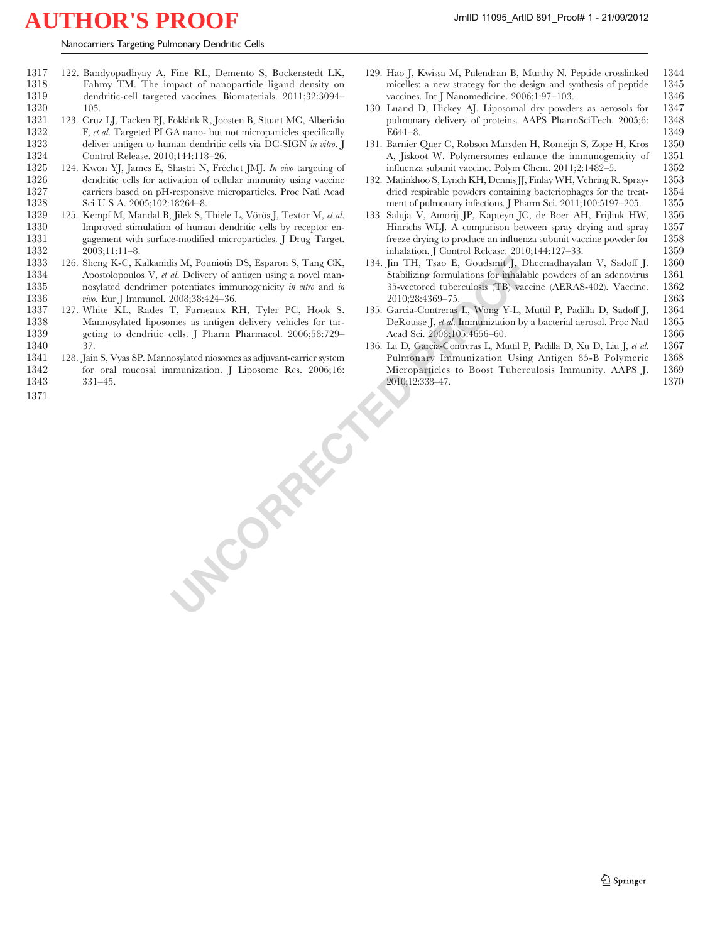- <span id="page-21-0"></span>1317 122. Bandyopadhyay A, Fine RL, Demento S, Bockenstedt LK, Fahmy TM. The impact of nanoparticle ligand density on 1319 dendritic-cell targeted vaccines. Biomaterials. 2011;32:3094–
- 1320 105.<br>1321 123. Cruz 1321 123. Cruz LJ, Tacken PJ, Fokkink R, Joosten B, Stuart MC, Albericio 1322 F, et al. Targeted PLGA nano- but not microparticles specifically 1323 deliver antigen to human dendritic cells via DC-SIGN in vitro. J<br>1324 Control Release. 2010;144:118-26.
- 1324 Control Release. 2010;144:118–26.<br>1325 124. Kwon YI. James E. Shastri N. Fré 124. Kwon YJ, James E, Shastri N, Fréchet JMJ. In vivo targeting of 1326 dendritic cells for activation of cellular immunity using vaccine 1327 carriers based on pH-responsive microparticles. Proc Natl Acad 1328 Sci U S A. 2005;102:18264-8.
- 1329 125. Kempf M, Mandal B, Jilek S, Thiele L, Vörös J, Textor M, et al. 1330 Improved stimulation of human dendritic cells by receptor en-<br>1331 gagement with surface-modified microparticles. J Drug Target. gagement with surface-modified microparticles. J Drug Target. 1332 2003;11:11–8.
- 1333 126. Sheng K-C, Kalkanidis M, Pouniotis DS, Esparon S, Tang CK, 1334 Apostolopoulos V, *et al.* Delivery of antigen using a novel man-<br>1335 nosvlated dendrimer potentiates immunogenicity *in vitro* and *in* nosylated dendrimer potentiates immunogenicity in vitro and in 1336 vivo. Eur J Immunol. 2008;38:424–36.
- 1337 127. White KL, Rades T, Furneaux RH, Tyler PC, Hook S. 1338 Mannosylated liposomes as antigen delivery vehicles for tar-1339 geting to dendritic cells. J Pharm Pharmacol. 2006;58:729– 1340 37.
- **UNCORRECTED** 1341 128. Jain S, Vyas SP. Mannosylated niosomes as adjuvant-carrier system 1342 for oral mucosal immunization. J Liposome Res. 2006;16: 1343 331–45.
- 1371
- 129. Hao J, Kwissa M, Pulendran B, Murthy N. Peptide crosslinked 1344 micelles: a new strategy for the design and synthesis of peptide vaccines. Int J Nanomedicine. 2006;1:97–103. 1346
- 130. Luand D, Hickey AJ. Liposomal dry powders as aerosols for 1347 pulmonary delivery of proteins. AAPS PharmSciTech. 2005;6: E641–8. 1349
- 131. Barnier Quer C, Robson Marsden H, Romeijn S, Zope H, Kros 1350 A, Jiskoot W. Polymersomes enhance the immunogenicity of 1351 influenza subunit vaccine. Polym Chem. 2011:2:1482-5. 1352 influenza subunit vaccine. Polym Chem. 2011;2:1482-5.
- 132. Matinkhoo S, Lynch KH, Dennis JJ, Finlay WH, Vehring R. Spray- 1353 dried respirable powders containing bacteriophages for the treat- 1354 ment of pulmonary infections. J Pharm Sci. 2011;100:5197-205. 1355
- 133. Saluja V, Amorij JP, Kapteyn JC, de Boer AH, Frijlink HW, 1356 Hinrichs WLJ. A comparison between spray drying and spray 1357 freeze drying to produce an influenza subunit vaccine powder for 1358 freeze drying to produce an influenza subunit vaccine powder for inhalation. J Control Release. 2010;144:127–33. 1359
- 134. Jin TH, Tsao E, Goudsmit J, Dheenadhayalan V, Sadoff J. 1360 Stabilizing formulations for inhalable powders of an adenovirus 1361<br>35-vectored tuberculosis (TB) vaccine (AERAS-402). Vaccine. 1362 35-vectored tuberculosis (TB) vaccine (AERAS-402). Vaccine. 2010;28:4369–75. 1363
- 135. Garcia-Contreras L, Wong Y-L, Muttil P, Padilla D, Sadoff J, 1364 DeRousse J, et al. Immunization by a bacterial aerosol. Proc Natl 1365 Acad Sci. 2008;105:4656–60. 1366
- 136. Lu D, Garcia-Contreras L, Muttil P, Padilla D, Xu D, Liu J, et al. 1367 Pulmonary Immunization Using Antigen 85-B Polymeric 1368 Microparticles to Boost Tuberculosis Immunity. AAPS J. 1369 2010;12:338–47. 1370